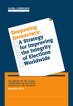# **GLOBAL COMMISSION** on Elections, Democracy & Security



THE REPORT OF THE GLOBAL COMMISSION ON ELECTIONS, DEMOCRACY AND SECURITY

September 2012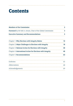# **Contents**

| <b>Members of the Commission</b>                                    | 2  |
|---------------------------------------------------------------------|----|
| <b>Foreword</b> by Mr Kofi A. Annan, Chair of the Global Commission | 3  |
| <b>Executive Summary and Recommendations</b>                        | 5  |
| Chapter 1: Why Elections with Integrity Matter                      | 10 |
| Chapter 2: Major Challenges to Elections with Integrity             | 18 |
| Chapter 3: National Action for Elections with Integrity             | 38 |
| Chapter 4: International Action for Elections with Integrity        | 48 |
| Chapter 5: Recommendations                                          | 60 |
| Endnotes                                                            | 65 |
| Abbreviations                                                       | 68 |
| Acknowledgements                                                    | 69 |
|                                                                     |    |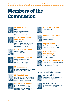# Members of the Commission



# Mr Kofi A. Annan

**Chair**  Former Secretary-General of the UN, and President of the Kofi Annan Foundation



# H.E. Dr Ernesto Zedillo Ponce de León

## **Vice Chair**

Former President of Mexico, Frederick Iseman '74 Director, the Yale Center for the Study of Globalization



## H.E. Mr Martti Ahtisaari

Former President of the Republic of Finland



# Dr Madeleine K. Albright

Former US Secretary of State and Chairman of the National Democratic Institute (NDI) Portrait by Timothy Greenfield-Sanders



#### President and Chief Executive Officer of the International Crisis Group



# Mr Vidar Helgesen

Ms Louise Arbour

Secretary-General of the International Institute for Democracy and Electoral Assistance (International IDEA)



#### Dr Rima Khalaf Hunaidi

Under-Secretary-General and Executive Secretary of the UN Economic and Social Commission for Western Asia (UN ESCWA)



#### H.E. Dr Festus Mogae Former President of Botswana



Professor Amartya Sen Professor of Economics,

Harvard University



#### Dr Javier Solana Former Secretary General of the Council of the European Union



# H.E. Prof Dr Vaira Vike-Freiberga

Former President of the Republic of Latvia



# H.E. Dr N. Hassan Wirajuda

Former Foreign Minister, and Member of the Council of Presidential Advisors of the Republic of Indonesia

# **Friends of the Global Commisson**

## **Ms Helen Clark**



Administrator of the United Nations Development Programme



#### **Mr B. Lynn Pascoe**

Former Under-Secretary-General for Political Affairs at the United Nations

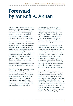# Foreword by Mr Kofi A. Annan

The spread of democracy across the world has been one of the most dramatic changes I have witnessed over the course of my career. In country after country, people have risked their lives to call for free elections, democratic accountability, the rule of law and respect for human rights.

Elections are the indispensable root of democracy. They are now almost universal. Since 2000, all but 11 countries have held national elections. But to be credible, we need to see high standards before, during and after votes are cast. Opposition organizations must be free to organize and campaign without fear. There must be a level playing field among candidates. On polling day, voters must feel safe and trust the secrecy and integrity of the ballot. And when the votes have been counted the result must be accepted no matter how disappointed the defeated candidates feel.

When the electorate believes that elections have been free and fair, they can be a powerful catalyst for better governance, greater security and human development. But in the absence of credible elections, citizens have no recourse to peaceful political change. The risk of conflict increases while corruption, intimidation, and fraud go unchecked, rotting the entire political system slowly from within.

I experienced this first-hand when the flawed presidential elections in Kenya in 2007 led to uncontrolled violence, killing and displacement of people. I have seen, too, how much of Africa's progress in the last decade risks being reversed by the "winner takes all" approach to elections and power, which has been extraordinarily damaging to the continent.

So while elections have never been more universal and important, their benefits are by no means assured. Elections have recently been used by autocratic governments to wrap themselves in a veneer of democratic legitimacy. New democracies are struggling to consolidate democratic gains, while growing inequality is putting pressure on many older democracies to show that they are relevant to citizens' concerns and well-being. Across the world, uncontrolled political finance threatens to hollow out democracy and rob it of its unique strengths.

It was to address these concerns and point to solutions that I invited a group of distinguished former leaders and eminent experts to consider how to promote and protect the integrity of elections. The Global Commission was established as a joint initiative of the Kofi Annan Foundation and the International Institute for Democracy and Electoral Assistance (International IDEA). It had full and independent responsibility for its Report, and members of the Commission served in their individual capacity.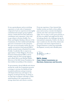It was a great pleasure and an enriching experience to work with a Commission composed of such an experienced, thoroughly committed and energetic group of global citizens. I thank them for their dedication, contribution and cooperation. I also wish to pay tribute to Ernesto Zedillo, Vice-Chair, and Stephen Stedman, Director of the Commission, for their intellectual leadership and active involvement in this enterprise. We were served extremely well by the very capable secretariat at International IDEA and the research team at Stanford University. Finally, I would also like to express my appreciation to Vidar Helgesen, Secretary-General of International IDEA, and its member states for their strong support, and to Ruth McCoy and Michael Møller, Directors of the Kofi Annan Foundation, for their skilled stewardship of this initiative.

To governments, elected officials and citizens around the world, the Commission presents a strategy to increase the likelihood that incumbent politicians and governments will deepen democracy and improve the integrity of national elections. In doing so, we hope that our Report will help to widen understanding of the requirements for strong, democratic and cohesive societies.

From my experience, I have learned that healthy societies are built on three pillars: peace and security; economic development; and the rule of law and respect for human rights. For too long, we have given priority to the first two pillars and neglected the third. In looking ahead to the challenges facing the international community, I believe the time is ripe to underscore the rule of law, democratic governance and citizen empowerment as integral elements to achieving sustainable development, security and a durable peace.

Kofi A. Annan **Chair, Global Commission on Elections, Democracy and Security**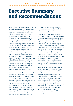# Executive Summary and Recommendations

Since 2000, all but 11 countries in the world have held national elections. Elections can further democracy, development, human rights, and security, or undermine them, and for this reason alone they should command attention and priority. More than 50 countries have embraced democracy in the last 20 years and now struggle to consolidate democratic governance. Global recession and rising economic inequality are putting pressure on many democracies, including older ones, to show that they are relevant to citizens' concerns and wellbeing. In the Arab world, where democratic aspirations have long been thwarted, citizens now have unprecedented opportunities to realize those aspirations, but also face dangerous pitfalls. The rise of uncontrolled political finance threatens to hollow out democracy everywhere in the world, and rob democracy of its unique strengths political equality, the empowerment of the disenfranchised, and the ability to manage societal conflicts peacefully.

For elections to embody democracy, further development and promote security, they must be conducted with integrity. Where elections have integrity, the bedrock democratic principle of political equality is honoured; citizens select their leaders, and hold them accountable. Where elections lack integrity, politicians, officials and institutions are not accountable to the public, which is denied equal opportunity to participate in and influence the political process. Public confidence in elections will be weak, and governments will lack

legitimacy. In these cases democratic institutions are empty shells, deprived of the ethos and spirit of democracy.

Elections with integrity are important to values that we hold dear—human rights and democratic principles. Elections give life to rights enshrined in the Universal Declaration of Human Rights and the International Covenant on Civil and Political Rights, including freedom of opinion and expression, freedom of peaceful assembly and association, the right to take part in the government of one's country through freely elected representatives, the right of equal access to public service in one's country, and the recognition that the authority of government derives from the will of the people, expressed in 'genuine periodic elections which shall be by universal and equal suffrage and shall be held by secret ballot.'

But in addition to promoting democratic values and human rights, elections with integrity can also yield other tangible benefits for citizens. Evidence from around the world suggests that elections with integrity matter for empowering women, fighting corruption, delivering services to the poor, improving governance, and ending civil wars. To be clear, elections with integrity cannot by themselves develop economies, create good governance, or make peace, but recent research does suggest that improved elections can be a catalytic step towards realizing democracy's transformative potential.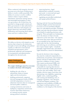When conducted with integrity, electoral processes are at the heart of democracy's ability to resolve conflict peacefully. The ability of a society to resolve conflicts without violence requires debate, information, interaction among citizens, and meaningful participation in their own governance, all of which have the potential to change people's minds and allow governments to take authoritative decisions. Elections with integrity can deepen democracy and enhance public deliberation and reasoning about salient issues and how to address them.

#### **Definition: Elections with Integrity**

We define an election with integrity as any election that is based on the democratic principles of universal suffrage and political equality as reflected in international standards and agreements, and is professional, impartial, and transparent in its preparation and administration throughout the electoral cycle.

 **Major Challenges to Elections with Integrity** 

**Five major challenges must be overcome to conduct elections with integrity:**

- building the rule of law to substantiate claims to human rights and electoral justice;
- building professional, competent electoral management bodies (EMBs) with full independence of action to administer elections that are transparent and merit public confidence;
- creating institutions and norms of multiparty competition and division of power that bolster democracy as a mutual security system among political contenders;
- removing barriers—legal, administrative, political, economic, and social—to universal and equal political participation; and
- regulating uncontrolled, undisclosed, and opaque political finance.

Starting with the Universal Declaration of Human Rights and the International Covenant on Civil and Political Rights, there are well-defined principles, standards, rights, and rules that governments commit to on behalf of conducting elections with integrity. These principles are fundamental, but in the absence of what is loosely referred to as the rule of law—the capacity and norms that ensure that governments are accountable by law, that citizens are equal under the law, that lawmaking and enforcing are not arbitrary, and that laws respect human rights—standards, principles, legal frameworks, and indeed rights themselves, cannot be substantiated.

Second, for elections to have integrity, they must be conducted competently in a professional, non-partisan, and transparent manner, and just as importantly, voters must have confidence in their conduct. This requires professional EMBs with full independence of action. EMBs are responsible for ensuring that elections are both technically credible and *perceived* to be free, fair, and credible. Their work includes a diverse range of activities, from determining voter eligibility, registering eligible voters, conducting polling, and counting and tabulating votes, to campaign regulation, voter education, and electoral dispute resolution. The competency and credibility of EMBs can thus shape overall perceptions of, and confidence in, the integrity of the election.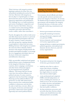Third, elections with integrity produce legitimate authority for those who win, and political and physical security for those who lose. Elections with integrity are but one play in a repeated game, in which short-term loss can be overcome through long-term organization and mobilization. The challenge here is to build institutions and norms of multiparty competition and division of power that bolster *democracy as a mutual security system* among political contenders and ensure that elections resolve conflict, rather than exacerbate it.

Fourth, throughout the world, in both newer and older democracies, barriers to universal and equal political participation still exist. In many countries, women, minorities, and other groups face ongoing obstacles to participation in democratic processes. Holding elections with integrity necessitates the removal of these obstacles. Indeed, elections with integrity should promote the broadest participation possible, to encourage the civic engagement and debate that is at the heart of electoral competition and deliberative democracy.

Fifth, uncontrolled, undisclosed and opaque political finance poses a fundamental threat to the integrity of elections. In some countries, direct campaign contributions and other forms of financial support are the dominant form of political influence. This means that low-income voters have less and less influence over political outcomes. In some countries, organized crime has found that campaign financing can buy political influence and protection. In some older democracies, finance practices have undermined public confidence in democracy and elections. In order to halt these corrosive effects on the integrity of elections and democratic governance, democracies must regulate rigorously and control political finance.

#### **Strategy for Promoting and Protecting Elections with Integrity**

Governments, elected officials and citizens can take specific actions to promote and protect the integrity of elections. To increase the likelihood that incumbent politicians and governments will strengthen the integrity of national elections, we advocate a series of mutually reinforcing commitments and actions:

- between governments and citizens;
- among like-minded governments;
- among professional, competent and non-partisan EMBs;
- **between domestic and transnational** civil society organizations; and
- among aid donors, recipient governments, political opposition, international and domestic election observers, and civil society organizations.

#### **Recommendations at the National Level**

- 1.To promote and protect the integrity of elections, governments should:
- build the rule of law in order to ensure that citizens, including political competitors and opposition, have legal redress to exercise their election-related rights;
- create professional and competent EMBs with full independence of action, including the assurance of timely access to the necessary finances to conduct elections, and mandates to organize transparent elections that merit public confidence;
- develop institutions, processes, and networks that deter election-related violence and, should deterrence fail, hold perpetrators accountable;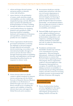- reform and design electoral systems and pursue policies to diminish winner-take-all politics;
- remove barriers to the participation of women, youth, minorities, people with disabilities and other traditionally marginalized groups, and take affirmative steps to promote the leadership and broad participation of women, including through the judicious use of quotas; and
- control political finance by regulating donations and expenditures, public financing of political campaigns, disclosure and transparency of donations and expenditures, and sanctions and penalties for non-compliance.
- 2.Citizen organizations should monitor government performance in meeting the challenges of electoral integrity through impartial and systematic election monitoring, in accordance with international principles; through civic action to prevent electoral violence; through monitoring media accountability, diversity, and independence; and through demanding that political parties are responsive to citizens' needs.

 **Recommendations to Enhance National Action Through Citizen Empowerment and Transnational Partnerships** 

3.Citizen election observers should commit to global standards for domestic election monitoring with the Global Network of Domestic Election Monitors and adhere to its Declaration of Global Principles and code of conduct. Donors should invest in building the capacity and credibility of domestic election observation and support the Global Network and its members.

- 4.Governments should join with likeminded states and partner with their own civil society organizations to embrace specific commitments on electoral integrity, the financing of elections, and the protection of free media through the Open Government Partnership—an international initiative that encourages governments to improve their performance on transparency, accountability, and inclusion.
- 5.National EMBs should organize and create a global certification process to evaluate and grade EMBs on their professionalism, independence, and competence, including developing a voluntary declaration of principles and code of conduct for administering elections with integrity.
- 6.Foundations and democratic shareholders should create and fund a new transnational civil society organization—Electoral Integrity International—dedicated to bringing global attention to countries that succeed or fail in organizing elections with integrity. Such an organization could be to electoral malpractice what Transparency International is to corruption. It would fill a key niche in helping to promote accountability on electoral issues by providing information, analysis, and other avenues for increasing normative pressure on governments that fall short of elections with integrity.

#### **Recommendations at the International Level**

7.Donors should prioritize funding activities, highlighted in this report, to promote and protect elections with integrity, giving priority to helping countries overcome the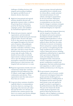challenges of holding elections with integrity and investing in building the capacity and effectiveness of domestic election observation.

- 8.High-level international and regional attention should be directed, and appropriate measures taken, to address the growing threat to democracy posed by the financing of political campaigns, parties, and candidates by transnational organized crime.
- 9.Democratic governments, regional organizations, and international organizations should stand up for electoral integrity before elections take place. To do so, they must be more proactive and engaged throughout the electoral cycle of countries with problematic elections. If mediation is needed, it should be undertaken well before voting takes place, and aim to ensure that in divided societies elections do not yield winner-take-all results. Follow-up should not focus solely on technical improvements to elections but should seek to open the dialogue and citizen participation required for the democratic political process, which elections with integrity both need and serve to create.
- 10.Regional organizations should create and communicate clearly their 'red lines' egregious electoral malpractices that, if violated, would trigger multilateral condemnation and sanction. These organizations must then take action if these lines are crossed.
- 11.Long-term donor assistance should be explicitly linked to recommendations by election observers, starting at the beginning of the electoral cycle rather than shortly before new elections. It should become common practice that there is in-country, post-election dialogue among international and domestic

observer groups, electoral authorities and political actors to identify areas for reform efforts, consider potential international assistance for such reforms, and improve preparedness for the next elections. Subsequent electoral observation and revised recommendations can then form the basis for changes in assistance strategies to ensure that fundamental principles of electoral integrity are respected.

- 12.Donors should better integrate democracy and the integrity of elections with development and security assistance. Development should contribute to building political pluralism as well as modes of democratic governance and political culture that lower the stakes of elections in insecure environments. Donors and partner countries should give priority to strengthening the full range of political actors involved in a country's democratic process, including parliaments, political parties in opposition and in government, independent media and independent electoral management bodies. International security cooperation needs to give far greater consideration to policies and programmes that foster political pluralism and competition, in order to sustain stability and democracy in the long run.
- 13.As governments, international organizations, and civil society consider the post-2015 development framework, greater priority should be given to political freedom as a building block of development and the need to provide much greater scope and capacity for people everywhere to participate in the political decisions that affect them. The post-2015 framework should include specific programmes and goals for delivering elections with integrity, with an emphasis on inclusion, transparency, and accountability.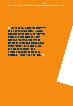**66 At its root, electoral integrity** is a political problem. Power, and the competition for power, must be regulated. It is not enough for governments to create institutions; politicians must respect and safeguard the independence and professionalism of election officials, judges and courts. 99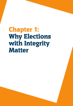# Chapter 1: Why Elections with Integrity **Matter**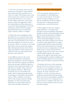Deepening Democracy: A Strategy for Improving the Integrity of Elections Worldwide

1. In the last two decades, democracy has spread across the globe in unprecedented ways. Democracies increased from 48 in 1989 to 95 today.<sup>1</sup> This includes some of the richest and poorest countries in the world, proving that democracy is not a luxury for the wealthy. Democratic activists and ordinary citizens throughout the world have repeatedly proved that democracy is a universal value and aspiration. The Arab Awakening confirmed that the popular demand for democracy is not bound by region, ethnicity, culture, or religion.

2. Perhaps the most compelling evidence that democracy is a universal value comes from the many authoritarian governments that seek to wrap themselves in the veneer of democratic legitimacy. In the last 12 years, for instance, all but 11 countries in the world, democracies and non-democratic regimes alike, held national elections.<sup>2</sup> Even China, where some leaders criticize democracy as a Western value, has experimented with elections at the local level.

3. One difference between the veneer of democratic legitimacy and genuine democratic legitimacy is electoral integrity. Where elections have integrity, the bedrock democratic principle of political equality is honoured; citizens select their leaders, and hold them accountable. Where elections lack integrity, politicians, officials and institutions are not accountable to the public, which is denied equal opportunity to participate in and influence the political process. Public confidence in elections will be weak, and governments will lack legitimacy. In these cases democratic institutions are empty shells, deprived of the ethos and spirit of democracy.

#### **What are Elections with Integrity?**

4. For most people, integrity refers to 'incorruptibility or a firm adherence to a code of moral values'.3 To say that a person has great integrity is to say that she is guided by an ethical compass and cannot be corrupted by material considerations or parochial interests.

5. When applied to elections, integrity implies adherence to the democratic principles of universal suffrage and political equality set forth in international agreements like the Universal Declaration of Human Rights and the International Covenant on Civil and Political Rights. Universal suffrage and political equality mean that all voters have equal opportunities to engage in public debate about the electoral process, develop their political preferences through unrestricted access to independent and varied media sources, exercise their preferences through voting, and have their votes counted equally. Political equality also requires respect for the right to seek election and a level playing field for political candidates and parties, including equal access to the media, public forums for debate, and political finance.

6. Integrity also has two other meanings that are relevant to elections. It refers to 'soundness or an unimpaired condition', as when we say that a building has structural integrity. To speak of elections with integrity is to refer to elections that are conducted competently and professionally. When elections are mismanaged, regardless of the intent, barriers to voting may arise, citizens may lose confidence that their vote has been counted equally, and the outcome may lack integrity.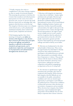7**.** Finally, integrity also refers to 'completeness or the state of being complete', as when we speak of territorial integrity. This meaning also pertains to elections, for it insists that soundness and ethical practice must persist over the course of an entire electoral cycle, not just on election day itself. Election experts have an old adage that 'only amateurs steal elections on election day'. The integrity of elections must cover *all points in the electoral cycle, as well as fundamental institutional and policy choices related to the electoral system, competition and outcomes.*

8. By bringing together these three meanings of integrity, *we define an election with integrity as any election that is based on the democratic principles of universal suffrage and political equality as reflected in international standards and agreements, and is professional, impartial, and transparent in its preparation and administration throughout the electoral cycle.*

#### **Why Elections with Integrity Matter**

9. Elections with integrity are important to values that we hold dear—human rights and democratic principles. Elections give life to rights enshrined in the Universal Declaration of Human Rights and the International Covenant on Civil and Political Rights, including freedom of opinion and expression, freedom of peaceful assembly and association, the right to take part in the government of one's country through freely elected representatives, the right of equal access to public service in one's country, and the recognition that the authority of government derives from the will of the people, expressed in 'genuine periodic elections which shall be by universal and equal suffrage and shall be held by secret ballot.'

10. Elections are fundamental to the ethos and principles of democracy. They create the opportunities for individuals to identify and pursue their political preferences, participate in the political process, and hold their representatives accountable without fear of repression or violence. They provide citizens with the means to discuss, debate, and educate themselves about key issues of governance, making free and open competition and political campaigning as important as the act of voting itself.

11. For elections to uphold human rights and democratic principles, they must be conducted with integrity. When elections lack integrity, electoral officials are not accountable to the public, and political candidates and voters are denied equal opportunity to participate in and influence the political process. Citizens lose confidence in democratic processes when elections are not inclusive, transparent, and accountable. When elections have integrity, they bolster democracy, respect fundamental rights, and produce elected officials who are more likely to represent their citizens' interests.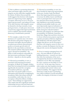12. But in addition to promoting democratic values and human rights, elections with integrity can also yield other tangible benefits for citizens. Evidence from around the world suggests that elections with integrity matter for empowering women, fighting corruption, delivering services to the poor, improving governance, and ending civil wars. To be clear, elections with integrity cannot by themselves develop economies, create good governance, or make peace, but recent research does suggest that improved elections can be a catalytic step towards realizing democracy's transformative potential.

13. For example, a study of over 800 elections in 97 countries since 1975 shows that elections with greater integrity are associated with higher electoral defeat of incumbent governments that performed poorly on economic growth and civil liberties in the years before an election.<sup>4</sup> The research confirms what anyone should expect: electoral accountability—the ability to hold incumbents responsible for their governance performance through elections—depends on election quality.

14. Electoral accountability, in turn, is associated with lessening government corruption. In Brazil, for example, scholars found that increasing electoral accountability significantly decreased the corruption of incumbent politicians, especially when there was greater public access to information about financial wrongdoing by incumbents. Rules that enhance political accountability could reduce the cost of corruption to Brazil by billions of dollars a year.<sup>5</sup> These findings are supported by other studies that show significant statistical relationships between electoral fraud and poor economic policies and poor governance.

15. Electoral accountability, in turn, has direct benefits for improving representation of the poor. Another study from Brazil shows that improving election processes to increase the ability of poor and illiterate voters to participate led to more poor and less-educated citizens being elected to state legislatures, government spending shifting towards public health care, and most importantly, improved utilization of health services that led to fewer low-weight births among less-educated mothers.<sup>6</sup> Elections with integrity can yield more than accountability. In Indonesia, researchers found that villages that used direct elections to choose infrastructure projects experienced a greater perception of fairness, legitimacy, and satisfaction with their projects than villages that did not vote for the projects.7 Elections with integrity cannot on their own produce economic development, but they can help provide concrete development benefits.

16. Even in countries emerging from civil wars—the most difficult of contexts for building democracy—research now shows that when the termination of the war is accompanied by elections in which former combatants run for office and campaign for votes, countries are less likely to revert to civil war.<sup>8</sup> At the same time, however, other studies note that fraudulent elections are correlated with societal violence and political instability. This suggests that for democracy to play its part in promoting non-violent resolution of social and political conflict, the integrity of elections is crucial.<sup>9</sup>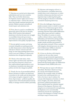#### **Why Now?**

17. Elections are carried out in democratic, authoritarian and war-torn countries alike. They can further democracy, development, human rights and security or undermine them—and for this reason alone they should command attention and priority. Global economic and political trends require such attention now.

18. First, there is a need to consolidate the democratic gains of the last two decades. Many of the countries that embraced democracy in the last 20 years now struggle to consolidate democratic governance. All of them are under pressure to deliver improvements in the quality of people's lives.

19. Second, global recession and rising economic inequality are putting pressure on older democracies to show that they are relevant to citizens' concerns and wellbeing. In some long-standing democracies, citizen trust and confidence in democratic institutions have dropped precipitously.

20. Third, in the Arab states, where human rights and democratic aspirations have long been thwarted, citizens now have unprecedented opportunities to turn revolutionary transitions into democratic polities, but also face dangerous pitfalls.

21. Fourth, the rise of uncontrolled political finance threatens to hollow out democracy everywhere in the world, and rob democracy of its unique strengths compared to other forms of governance—political equality, the empowerment of the disenfranchised and the ability to manage societal conflicts peacefully. 22. Elections with integrity will not, in and of themselves, consolidate democracy, rebuild citizen trust in democracy, or ensure transition *to* democracy, but they can be an important step in achieving these goals. And the integrity of elections is absolutely essential for deepening democracy.

23. Given the challenges of governance amidst economic crisis, it is useful to remind readers of one of democracy's great values: the enhancement of public deliberation and reasoning. Elections foster public deliberation about salient issues and how to address them. The ability of a society to resolve conflicts without violence requires debate, information, and interaction among peoples, all of which have the potential to change people's minds and allow governments to take authoritative decisions. When conducted with integrity, electoral processes are at the heart of democracy's ability to structure and resolve conflict non-violently.10

24. A focus on elections with integrity is timely now for one other reason. Citizens, non-governmental organizations, international organizations and governments are beginning to debate the development framework that should replace the Millennium Development Goals (MDGs) after 2015.

**25.** We hope that our report will influence that debate. We believe that for too long, the concept of development has been limited to the economic realm. In looking forward to the world beyond 2015, we believe the time is ripe to embrace the concept of development as freedom, in which issues of rights, rule of law, democratic governance, political participation and citizen empowerment are essential, integral elements of development. Elections with integrity are an instrument for strengthening development as it is conventionally understood, but also for expanding the concept of development to include a broader and deeper range of human needs.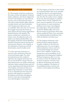#### **The Approach of the Commission**

**26.** The integrity of elections results from the choices, actions and capacity of national leaders, politicians, and citizens. Support for elections with integrity can come from the top down, driven and inspired by leaders who seek to respect human rights, empower everyday citizens, and create institutions with transparency, inclusiveness, and accountability. More often than not, however, the struggle comes from the bottom up, when citizens and civil society organizations demand elections with integrity. The passion, mobilization, and pressure of citizens create the political incentives for leaders to act democratically. Either way, the integrity of elections and the legitimacy that flows from them must be home grown and protected. Elections with integrity, as the embodiment of democracy and selfdetermination, must be locally owned.

27. At the same time, democracy is a universal value and elections form part of universal human rights. Too often, international actors have worked to undermine the integrity of elections, but this can and should be a thing of the past. International action can reinforce democratic reformers, bolster national citizens and civil society organizations that demand elections with integrity, and help local democrats build strong institutions to sustain them. To do so, international actors must treat elections with integrity as essential to development and security, and approach elections coherently and strategically not as afterthoughts or distractions.

28. The integrity of elections is often treated as a technical problem that can be remedied through best practice and organizational capacity. In some countries this may be the case, but often the reality is more complex. At its root, electoral integrity is a political problem. Power, and the competition for power, must be regulated. It is not enough for governments to create institutions; politicians must respect and safeguard the independence and professionalism of election officials, judges and courts. Recent research on governance shows that reforms usually fail if they 'leave untouched the underlying political equilibrium' that stifles development and democracy.<sup>11</sup>

29. The integrity of elections is also political, because integrity depends on public confidence in electoral and political processes. It is not enough to reform institutions; citizens need to be convinced that changes are real and deserve their confidence. Inclusiveness, transparency, and accountability are all fundamental to developing that confidence. Without transparency, there is no way for citizens to know for themselves that elections are genuine. And there must be effective mechanisms and remedies for citizen complaints. The absence of accountability produces cynicism and reinforces citizen apathy and inefficacy.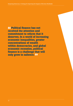*A* Political finance has not received the attention and commitment to reform that it deserves. In a world of increasing economic inequalities, greater concentrations of wealth within democracies, and global economic recession, political finance is a challenge that will only grow in salience. ??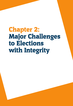# Chapter 2: Major Challenges to Elections with Integrity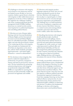**30.** Challenges to elections with integrity can be found in every democracy and are not limited to poor, divided, or war-torn countries. Indeed, a great threat to elections with integrity in older stable democracies is complacency in the face of these challenges. We emphasize five challenges: building rule of law, creating professional electoral management bodies (EMBs), building democracy as a mutual security system, removing barriers to political participation and controlling political finance.

31. Elections are tests of human rights. Starting with the Universal Declaration of Human Rights and the International Covenant on Civil and Political Rights, there are well-defined principles, standards, rights, and rules that governments commit to for conducting elections with integrity. These principles are fundamental, but all of them are dependent on the rule of law, without which standards, principles, legal frameworks—and indeed rights themselves—cannot be substantiated.<sup>12</sup>

32. For elections to have integrity, they must be conducted competently in a professional, non-partisan, transparent manner and must be perceived by voters as such. The key institutions for promoting and protecting elections with integrity are professional, independent EMBs. EMBs are responsible for ensuring that elections are both technically credible and *perceived* to be legitimate and credible.

33. Elections with integrity produce legitimate authority for those who win and political and physical security for those who lose. Elections with integrity are but one play in a repeated game, in which short-term loss can be overcome through long-term organization and mobilization. The challenge here is to build institutions and norms of multiparty competition and division of power that bolster *democracy as a mutual security system* among political contenders and ensure that elections resolve conflict, rather than exacerbate it.

34. Recalling that elections with integrity should uphold principles of political equality and universal suffrage, citizens in many democracies still face barriers to universal and equal political participation. Throughout the world, women are vastly underrepresented in political office and political party leadership, and they are discouraged from political participation. In some countries, minorities face obstacles to voting and are deprived of political rights. Holding elections with integrity necessitates the removal of these obstacles.

35. Finally, uncontrolled, undisclosed and opaque political finance poses a fundamental threat to the integrity of elections. In some countries, direct campaign contributions and other forms of financial support are the dominant form of political influence. This means that low-income voters have less and less capacity to influence political outcomes. Transnational organized criminals have found that campaign financing can buy them political influence and protection. In some older democracies, finance practices have undermined public confidence in democracy and elections. To address this fundamental challenge to elections with integrity, democracies must control political finance.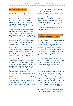#### **Building the Rule of Law**

36. The integrity of elections hinges on the strict observance of the rule of law—the capacity and norms that ensure that governments are accountable by law, that citizens are equal under the law, that lawmaking and enforcing are not arbitrary, and that laws respect human rights.<sup>13</sup> When applied to elections, this means that action must be taken against incumbents or entrenched political interests seeking to manipulate the electoral process. Strong independent courts are needed to protect the rights of all voters, political parties and candidates, to enforce free and fair electoral procedures, and to prosecute violations of the electoral process. For elections to have integrity, electoral justice must be done, and citizens must see that it is done.

37. The rule of law is fundamental to holding elections with integrity, as it facilitates measures to address the other challenges to this. EMBs have to conduct themselves with impartiality, and even those with the power to resist them must respect their judgements. Creating mutual security among political competitors is easier when they have faith in impartial, independent courts and police. Overcoming barriers to participation through the selected use of quotas will be seen as more legitimate if the rationale behind the quotas is not seen as arbitrary. Controlling political finance requires confidence that courts will hold competitors equally to task.

38. We do not want to imply that establishing the rule of law is easy or can be done overnight. There is no technical manual for its creation; indeed, the illusion that it is a technical process confounds its establishment.

The rule of law is deeply political, because it alters and constrains the use of power. It is also deeply social and cultural, because it works best not through enforcement and coercion, but through everyday compliance.14 We do insist, however, that elected officials have a great responsibility in creating the rule of law; their behaviour in accepting the law, particularly when it runs counter to their interests, is a powerful model for citizens to emulate in their daily interactions with the law.

#### **Creating Professional, Independent Electoral Management Bodies**

39. For elections to have integrity they must be, and must be *perceived* by voters as being, conducted competently in a professional, non-partisan manner. The key institutions for promoting and protecting elections with integrity are professional, independent EMBs that conduct transparent processes. EMBs are responsible for ensuring that elections are both technically credible and *perceived* to be free, fair and credible. Their work includes a diverse range of activities, from determining voter eligibility, registering eligible voters, conducting polling, and counting and tabulating votes, to campaign regulation, voter education, and electoral dispute resolution.

40. The competence and popular perception of EMBs and their staffs can thus shape overall perceptions of, and confidence in, the integrity of the election. For example, a lack of speed or transparency in handling electoral complaints can increase the risk of misinformation, unrest, and even violence, damaging the legitimacy of the electoral process. Legitimate and credible EMBs are especially important in states emerging from civil war, or countries with a recent history of social division and political violence.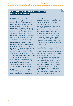### **Kenya's 2007–8 Manipulated Electoral Institutions and Post-Election Violence**

The 2008 post-election violence in Kenya caught many by surprise. The country had long been known for its professional electoral institutions and political stability, and elections there had generally proceeded peacefully in the past. But during the December 2007 presidential elections, the Electoral Commission of Kenya (ECK) failed dramatically to live up to its reputation. After voting ended, the ECK delayed the announcement of results for two days. Also, results in a number of constituencies showed considerable discrepancy between presidential and parliamentary turnouts. Since these discrepancies were observed primarily in President Mwai Kibaki's strongholds, they were seen by many as evidence of the inflation of the Kibaki vote. Despite accusations of widespread irregularities, the ECK called the election for Kibaki on 30 December and he was sworn in the same day, prompting immediate protests by the opposition and triggering the violence that plagued the country for the next two months.

The ECK's poor performance followed a series of steps taken by the Kibaki administration that undermined its

independence and impartiality. In the run-up to the election, President Kibaki appointed 19 of the 22 members of the ECK, in contravention of a 1997 'gentleman's agreement' that provided for multiparty representation on the Commission. His former lawyer became the Commission's vice chairman, and what was formerly viewed as one of the more reliable EMBs in the region became highly politicized. In addition, two days before the election, Kibaki appointed five new judges to the High Court, which had the mandate to hear electoral disputes.15

Distrust of these key state institutions foreclosed the possibility of a procedural response by the opposition over suspected electoral malpractices, producing instead widespread violence and a political crisis in what was previously seen as a stable, democratic country. In the end, over 1,150 people were killed and some 350,000 displaced from their homes.16 It took international intervention under the aegis of the African Union's Panel of Eminent Persons, led by Kofi Annan, to bring the rival political blocs to the negotiating table.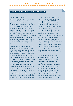## **Transparency and Institutional Strength in Ghana**

In many ways, Ghana's 2008 presidential elections were strikingly similar to the Kenyan elections the year before. Both featured a hotly contested race with ethnic undertones in countries widely known for their political stability. But whereas the manipulation of electoral institutions in Kenya precipitated widespread violence, a history of sound electoral management and transparency allowed Ghana to navigate a tense political situation with relatively little violence, leading to a legitimate transfer of power and continued stability.

In 2008, the two main presidential candidates, Nana Akufo-Addo of the New Patriotic Party and John Atta Mills of the National Democratic Congress, were running very close to each other in opinion polls. Akufo-Addo fell less than one percentage point short of a first-round majority in early December, forcing a run-off election at the end of that month. Rhetoric escalated in the intervening weeks, and many feared the heated campaigning would lead to violence, but the Electoral Commission took a number of steps to reduce tensions and build confidence in its performance and the integrity of the results, for example by replacing poll workers who had failed to follow

procedures in the first round.17 When the run-off ballot resulted in Mills winning by less than 50,000 votes, these steps helped persuade the losing party to accept the results. In addition, civil society was organized, and conducted what is regarded as a highly successful monitoring effort, which included a parallel vote tabulation for both rounds of the election. Ghana's Electoral Commission Chairman, Dr Kwadwo Afari-Gyan, publicly praised the citizen election monitoring efforts of the Ghana Center for Democratic Development, and its partners in the Coalition of Domestic Election Observers, as important factors that reinforced the Electoral Commission's work and reduced volatility in the election environment.

Fundamentally, the ability of the Ghanaian Electoral Commission to manage such a close election successfully was rooted in years of respect and independence from other political actors in the country. By establishing a track record of competence and professionalism, while simultaneously maintaining its independence from improper influence, the Commission was able to build political capital that it could draw upon when needed in 2008.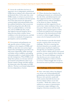41. Across the world there has been an impressive rise in independent, professional EMBs that are imbued with a democratic and professional ethos. At the same time, some EMBs remain, or at least are perceived as being, partial to incumbents and their parties. Even those that possess the appropriate technical ability and professionalism often face political interference that can prevent them from doing their jobs effectively. These are political failures: on the face of it, such an EMB looks like a body that supports electoral integrity, but its behaviour does little to bolster citizen confidence in the electoral process, and fails to conform to standards of transparency, participation, and accountability.

42. Governments and parliaments can take specific actions to bolster citizen confidence in the integrity of EMBs, and EMBs can take their own actions: legal frameworks and budgetary procedures can help ensure impartiality, public meetings can bolster citizen confidence and making information public in a timely fashion helps provide transparency. When EMBs do not adopt these policies, it is because national governments and politicians refuse to go beyond cosmetic change and fully embrace the democratic ethos that makes an EMB effective. The key is not formal independence, but true independence of action.

#### **Building Mutual Security**

43. Where elections have integrity, the resulting governments are constrained by the rule of law, and defeated parties and their supporters feel free to participate in political activity without intimidation or the threat of violence. Similarly, incumbents and their supporters do not need to fear violent retribution if they ever lose power. Democracies with electoral integrity create a repeated game in which it is better for political actors and groups to take part in the electoral process than to revert to violent struggle, helping to ensure a level of mutual security for all.

44. For elections to provide this mutual security, countries must overcome two challenges. The first is ensuring that elections themselves are actually a nonviolent means of political competition. Though they are intended as a peaceful forum in which to debate policies and societal priorities, in some countries this is clearly not the case. The second challenge is ensuring that elections are not a winner-take-all political competition in which it is better to revert to violent struggle than accept an electoral loss and its potential consequences.

# **The Challenge of Electoral Violence**

45. Since 1960, fatal violence has plagued over 20 per cent of all presidential and parliamentary elections held worldwide. Between 1985 and 2005, nearly half of all countries that held elections saw election-related violence at one time or another. 18 While this violence is not uniform in its causes or characteristics, it represents a major challenge to the integrity of elections around the world.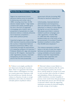# **Post-Election Violence in Nigeria, 2011**

Nigeria has experienced chronic electoral violence since its transition to democracy and civilian rule in 1999, including more than 15,700 election-related deaths.19 High stakes combine with readily available guns for hire in the form of organized crime gangs and a historic lack of prosecution of perpetrators to make electoral violence a relatively attractive tool of electoral competition even within political parties.

Important progress was made in the 2011 elections towards professionalizing the country's Independent National Electoral Commission (INEC), most importantly through the appointment of a respected academic as chairman.20 Professor Attahiru M. Jega, who became known as 'Mr Integrity', revamped the voter registration process, improved transparency at the Commission and for the first time prosecuted

government officials (including INEC officials) for electoral malpractice.<sup>21</sup>

Unfortunately, improved electoral administration and transparency were not sufficient to achieve major reductions in violence in some regions. During the run-up to the election, 165 people were killed in violence related to political campaigns and voter registration. Another 800 to 1,000 died after widespread protests broke out in the north on the announcement of incumbent President Goodluck Jonathan's victory. More than 65,000 were displaced.<sup>22</sup>

This violence represents a political failure in the face of what was largely a technical and administrative success. Losing candidates and party leaders failed to meet their responsibilities to restrain their supporters and accept the election results.

46. Violence is not simply a problem for new democracies during the transition phase. There is no guarantee that electionrelated violence will disappear over time as a country gains more experience with the electoral process. Instead, electoral violence is a function of weak or corrupt institutions, and is often one element in a broader pattern of political violence.

47. Electoral violence is more likely in a context in which institutions like the courts, the criminal justice system, the security forces, and the media are corrupt or too weak to carry out their roles in the face of violence and intimidation. Ethnic divisions, postconflict transitions, economic inequality or poverty create social strains that put pressure on the democratic process, but will only lead to electoral violence when the supporting institutions necessary for electoral integrity are weak, corrupt, or not in place.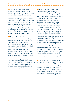48. Election-related violence directed at individual citizens is usually aimed at suppressing voter turnout to affect electoral outcomes. Sometimes it is used to coerce people to vote a particular way or as retribution for votes going 'the wrong way'. Violence directed at candidates and political parties is aimed at limiting voters' choices. Violence that targets electoral officials is usually aimed at disrupting the vote or setting the stage for capturing polling places or counting centres. These tactics usually involve small numbers of people and target individuals before or on election day.

49. Large-scale mobilization of people to protest against election outcomes targets electoral institutions, and sometimes other state bodies, with the goal of reversing official election results or preventing the perceived potential for election theft. Such actions are not necessarily intended to be violent, though that can be the case. They often are efforts to protest against a lack of electoral integrity, though they could be organized for nefarious purposes. Violence related to these actions often comes from security forces attempting to perpetuate those in power (though sometimes it is a result of other causes, such as overreaction by security forces or acts by *agents provocateurs*). When post-election violence happens in such circumstances, it is often severe.

50. Remedies for these situations differ, but the emphasis must be on deterring violence before it happens, and holding perpetrators accountable if it does happen. Pre-election violence targeted at individuals can be countered through anti-violence campaigns and through monitoring the allocation of security and election administration resources, with early warning of irregularities. In Kenya, for example, a civil society organization, Ushahidi, uses electronic media and crowd sourcing both to warn about potential hot spots and to report on incidents of violence. Political party liaison committees and other mechanisms can be useful in mitigating the potential for violence and its escalation. Transparency, inclusiveness and accountability in tabulating election results—including parallel vote tabulations by independent civil society organizations and political parties—can improve confidence in the results and diminish post-election volatility. Expedited complaints processes with effective remedies are also needed, so that there are legal alternatives to using violence to challenge elections. All these measures save lives.

51. For long-term security, there is no substitute for ending the impunity that often surrounds electoral violence. This, however, requires meeting the rule of law challenge described earlier, which in turn leads us back to politics. National leaders, political incumbents and electoral challengers all have obligations to infuse the institutions of democracy with the *ethos* of democracy.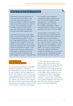# **Joining the Electoral Game in El Salvador**

The Frente Farabundo Martí para la Liberación Nacional (FMLN) is the main left-wing political party in El Salvador, formed in 1992 following the peace accord that ended the country's civil war. For the previous 12 years, the FMLN served as the umbrella group for leftist guerrillas fighting the right-wing military government.

One of they key features of the 1992 peace accord was bringing the FMLN into the political process. In return for the group demobilizing its forces, the government 'agreed to carry out reforms to the military, judicial, and electoral institutions that would make political competition possible'.23 But while similar transition agreements have failed in numerous countries around the world, El Salvador has been largely successful in transitioning

 **The Challenge of Winner-Take-All Politics** 

**52.** Even if elections themselves are largely peaceful, they also face a challenge in providing mutual security in a broader sense. In some countries, electoral competition is a winner-take-all game in which winners gain wide-ranging political and economic benefits and losers face the threat of persecution and even violence. For elections to have integrity, they must avoid this winner-take-all situation and instead create a political system in which even losers have an incentive to participate.

to a society in which electoral competition takes precedence as the main form of societal conflict management. The FMLN has participated in every election since 1992, culminating in FMLN candidate Mauricio Funes winning the presidency for the first time in 2009.

Various factors contributed to this peaceful transition, but throughout the post-war period FMLN saw real benefits from its participation in electoral politics. Early on, the party won mayoral races in many key cities, and it has been the largest or secondlargest party in the legislature since 1994. This division of power within the country allowed the FMLN to protect its interests even in the face of electoral losses, and helped prevent backsliding into renewed conflict.

53. The belief that one will be free to organize and contest elections in the future is bolstered to the extent that there are institutions and the rule of law to protect elections with integrity and other human rights, which we discussed earlier in this chapter. Other institutions, such as competent and effective legislatures, can provide horizontal accountability and check executive power, and therefore assure political challengers that democracy, and with it their ability to contest for power, will continue indefinitely.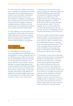**54.** At the same time, multiple contestation points—legislatures, regional governorships, mayoralties and local leadership positions combined with meaningful, well-planned and executed devolution of power and decentralization of budgets, can mitigate the all-or-nothing character of elections. Where electoral systems are highly centralized, candidates and parties that lose elections risk being shut out completely from political power and the allocation of public goods.

**55.** This challenge can be particularly acute in majoritarian systems that tend to produce stable single-party governments, meaning that electoral losers risk being permanently shut out of political power, cut off from resources and vulnerable to victimization.24

#### **The Challenge of Post-Conflict Countries**

**56.** The challenges of creating mutual security through elections with integrity are most palpable in countries emerging from civil war. Elections in post-conflict environments face special challenges. Sometimes the goals of war termination and democracy are in tension. Elections in post-conflict countries take place in uniquely fragile physical and social environments. Fear, hatred, and enmity may be rife; the destruction of infrastructure, and weak state capacity, make even the most mundane administrative tasks difficult; the proliferation of small and light weapons (and of young soldiers who use them) means that a return to violence can be close at hand.

57. Elections can raise the risk of such a return to violence by reinforcing competition and political differences between former warring factions. Political mobilization along previous conflict lines is often cheaper and easier than mobilizing along programmatic platforms, so political parties tend to reflect the same cleavages associated with the conflict.<sup>25</sup> Divisive campaign tactics can also reinforce the insecurity that former factions often face, and raise the spectre of exploitation once the victorious side assumes control of the state.

58. In post-conflict contexts, former warring parties are subject to real insecurity because weak institutions and nascent democratic norms may not be able to constrain a ruler from repudiating democracy or abusing power to persecute political enemies.<sup>26</sup> The threat of outright defeat at the polls may not be tolerable for armed groups who fought to evade defeat on the battlefield, increasing the risk of a return to conflict.

59. Nonetheless, research shows that under certain circumstances former warring parties do embrace electoral politics as a form of mutual security. When peace settlements include army integration programmes, post-conflict elections have been more likely to occur and are more likely to be successful.<sup>27</sup> Processes of demobilization, disarmament and reintegration, and security sector reform, are strongly associated with achieving a more stable peace. Critically important are choices about electoral systems in order to ensure that there are multiple arenas of contestation, constraints on executive rule and divisions of power all factors that reduce the winner-take-all politics antithetical to mutual security.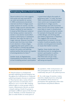# **Strengthening Women's Participation in India**

Recent evidence from India suggests that quotas and seat reservations can yield real benefits for women. A 1993 constitutional amendment reserved one-third of village council leader positions for women, but the specific village councils reserved were chosen randomly for each election. A study by Rikhil Bhavnani looked at how having a position reserved for women in one election would affect women's performance in subsequent elections, even after the seat is no longer reserved. Bhavnani found that women were five times more likely to win elections in these villages, suggesting that quota systems can be successful in introducing qualified women into politics and teaching political parties that women are capable of winning elections for them.28

Another study, by Raghabendra Chattopadhyay and Esther Duflo, looked at how increasing women's participation in government affects the quality of governance itself.29 In India, the same 1993 constitutional amendment gave more control over local government expenditures to village councils. Chattopadhyay and Duflo found that those councils with women leaders were more likely to invest in infrastructure projects that were priorities for women, for example drinking water and roads in West Bengal, and drinking water and welfare programmes in Rajasthan. This suggests that increasing representation for women is not just a matter of political equality, but also provides concrete governance benefits on issues that matter to women.

Together, these studies help show that effective tools for strengthening women's participation in politics and government do exist, and that these tools can go a long way towards improving women's well-being and equality.

#### **Removing Barriers to Participation**

60. Broad inclusion is a fundamental principle underlying electoral integrity, but throughout the world barriers to voting and political participation threaten to undermine it. These barriers take a variety of forms. Legal restrictions can determine who is allowed to vote or run for office, limiting political rights to certain groups within a country. Administrative barriers can deter voting by making it harder for groups to participate in different aspects of the electoral process. Similarly, economic limitations can place an undue burden on certain parts of

the population, while social pressures can deter participation by groups that do not traditionally take part in the political process.

61. In a wide range of countries, women, minorities, displaced persons, and people with disabilities all face barriers to participation that significantly reduce their representation and political influence.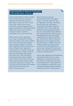#### **Suppressing African-American Participation in the United States of America**

In the United States of America (USA), African-Americans face numerous legal and administrative barriers that make it harder for them to cast their votes. While none of these restrictions explicitly target specific groups, they tend to disproportionately affect poor people and minorities, making it harder for them to participate in the political process.

Restrictions on voter registration are a major impediment to African-American voting in the country. States like Florida and Texas have passed laws making it tougher to conduct voter registration drives, while others have increased voter registration requirements, for example requiring birth certificates or longer residency periods. Some states are purging their voter files, often improperly disqualifying thousands of eligible voters. And 5 million Americans have been disenfranchised because they have been convicted of a felony.<sup>30</sup> All of these restrictions disproportionately affect African-Americans and other minority groups.<sup>31</sup>

African-Americans also face administrative barriers that make it harder to cast their votes once they are registered. Since 2011, nine states have imposed voter identification requirements that make it harder for minorities to vote.32 Some states are significantly decreasing opportunities for early and absentee voting, methods that can greatly benefit minority groups who generally have less ability to get to polling places in person on election day. Those who do make it to the polls generally face much longer wait times than white voters. In 2008, 15 per cent of African-Americans and 8 per cent of Latinos had to wait longer than an hour to vote, compared to 5 per cent of whites, which placed a disproportionate burden on minority voters.<sup>33</sup>

Stricter voter registration and identification requirements have been put in place ostensibly to combat voter fraud. But the incidence of voter fraud in the USA is vanishingly small, $34$  meaning that the main consequence of these rules is the increased disenfranchisement of African-Americans and other minority groups.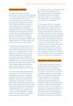#### **Participation of Women**

62. Many barriers to the political participation of women have been dismantled over the last century, and universal suffrage is now the global norm. Yet in many countries, women face ongoing obstacles to participation in democratic processes.<sup>35</sup> These include political barriers, such as a lack of support from political parties and other organizations, and limited training for women in civic participation and politics. Women also face social and economic barriers, including higher rates of poverty and unemployment, higher illiteracy rates, less access to education, and violence and intimidation. Cultural and religious beliefs about women's proper role in society can also be a major obstacle.

63. Women still make up less than 20 per cent of legislatures worldwide, and even in developed countries they only account for 27 per cent of representatives.<sup>36</sup> The numbers for cabinet-level positions are similarly disappointing, and significant work remains to be done worldwide in expanding women's roles in other political bodies like courts and electoral commissions. Because membership in these bodies is most often by political appointment, political leaders wield great power to achieve or impede gender equality in these domains.

64. Some countries have adopted formal mechanisms to ensure that women have equal opportunity to play a central role in politics. Currently, 50 countries have mandatory quotas for women's political participation, though they vary in their effectiveness and enforcement. Quotas can help to undo historical distortions that limit women's representation by creating a more level playing field. In every region of the world, the average percentage of women serving in national legislatures is higher in those countries that have a mandatory gender quota at the national level.<sup>37</sup>

**65.** For quotas to have a truly democratizing effect, they must be linked not only to the quantity of women in office but also to the quality of positions available to them. Once in office, it is crucial that women officials have equal opportunity to exercise power and authority.

66. Some argue that the use of quotas runs counter to the political equality of individuals and the requirement that all persons be treated equally. And tension certainly arises when governments treat individuals differently in order to promote the equality of groups that have historically been excluded from political participation. Nonetheless, when groups face historical, social and economic disadvantages, 'they are not treated equally when they are treated the same'.38 To resolve this conflict, we believe that quotas should be used judiciously, with sunset clauses for their removal. Recent scholarly work supports such an approach and indicates that quotas have a lasting effect on the representation of women, even when they are withdrawn.<sup>39</sup>

#### **Participation of Minority Groups**

67. Like women, minority groups face formal and informal barriers to political participation, even in consolidating democracies in which universal suffrage is a norm. As with women, the removal of all institutional barriers to participation may not be enough to generate equality of representation.40 Lack of financial resources and low levels of education among marginalized minorities pose significant obstacles to participation, both in terms of voting and representation in the political arena.<sup>41</sup> In more developed democracies, minorities generally face more administrative barriers to participation. All countries with minority populations that face barriers to equal participation should identify and remove such barriers.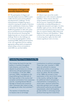#### **Participation of Refugees and Internally Displaced Persons**

68. The participation of refugees and internally displaced persons (IDPs) in postconflict elections poses serious political and administrative challenges. Yet the enfranchisement of displaced groups is critical for ensuring the integrity of elections and the establishment of democracy. Failure to enfranchise the displaced can create a disaffected population at odds with a peace process and limit the perceived legitimacy of the electoral process. Ensuring that displaced groups can vote presents a major challenge. However, this challenge can be overcome through legislative reform, sensitizing EMBs, adding special measures to the voter registration process, making appropriate polling station arrangements, and providing a secure environment in which IDPs can cast their ballots.

#### **Barriers to Individuals with Disabilities**

69. About 15 per cent of the world's population lives with a mental or physical disability.42 These citizens often face unique problems participating in the election process, ranging from difficulties in physically accessing polling places to outright discrimination and neglect. In 2002, disability rights activists, election officials and international parliamentarians from more than 24 countries drafted a Bill of Electoral Rights for Citizens with Disabilities.<sup>43</sup> Many countries have made significant progress in advancing these rights, but there still remains significant work to be done.

#### **Combating Illicit Finance in Costa Rica**

Illicit money has found its way into politics in countries throughout Latin America, and Costa Rica, despite its performance as a strong democracy with good governance, is no exception. In the late 1980s and early 1990s, investigations into drug trafficking found that both of the major parties in the country had accepted contributions from suspicious sources, including General Manuel Noriega of Panama and numerous other individuals later linked to drug smuggling and other illicit activities.<sup>44</sup>

The reaction in Costa Rica was to impose a ban on all foreign

contributions to political campaigns. These new rules, enacted in 1996, were not sufficient to cleanse Costa Rican politics of corrupting money, as numerous scandals since can attest. But the scandals of the 1980s did prompt a close examination of the role of illicit money in the country, setting the stage for additional reform and gradual improvements in transparency. In recent years, electoral authorities have been granted much stronger enforcement authority and disclosure requirements, which will hopefully go even farther in removing corrupt political financing from Costa Rica.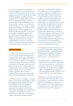70. Sierra Leone provides a particularly stirring example of a country that has tried to remove electoral barriers for those with a disability. Years of civil war produced a large disabled population, including through a campaign by the rebel Revolutionary United Front to amputate the hands and feet of citizens to discourage participation in the 1996 elections.<sup>45</sup> In more recent elections, numerous efforts have been made to include people with disabilities in the electoral and political process. These highlight some simple but effective steps that can be taken, for example avoiding polling places that have stairs or allowing disabled voters to skip lines, which can often be hours long.<sup>46</sup> Without more efforts like these, people with disabilities in countries around the world will continue to face great difficulties in being part of the electoral process.

#### **Political Finance**

71. For all democracies, rich and poor, old and new, poorly regulated political finance is a grave threat to elections with integrity. Political parties and candidates must have access to money to organize and campaign, yet political finance always has the potential to undermine the integrity of elections and democratic governance. An incomplete list of democracies that have suffered campaign finance scandals over the last 20 years includes Argentina, Brazil, Canada, Colombia, France, Germany, Japan, South Africa, the United Kingdom and the USA.

72. Political finance encompasses campaign finance, party finance and all aspects related to funding of, and spending by, parties and candidates in election campaigns. Poorly regulated political finance can undermine the integrity of elections in both obvious and hidden ways. Vote buying and bribery of candidates in return for political favours obviously corrupt electoral integrity. But poorly regulated political

finance can corrode electoral integrity in more subtle ways. In an era of explosive growth in campaign expenditure across older democracies, citizens lose faith in the electoral process. They suspect that wealthier citizens and corporations have greater influence in public affairs, and particularly on the media, notably by buying time and space for political advertisements. They understand that poorly regulated campaign finance diminishes political equality. And they fear that such finance corrupts their representative institutions. When large campaign contributions are tied to extensive lobbying of elected politicians, ordinary citizens perceive a conflict of interest. Poorly regulated campaign finance in turn leads to lower participation in the democratic process, tainted electoral integrity and impaired democracy.

73. Groups antithetical to democracy, such as organized crime, find campaign finance the most direct route to political influence. Writing about the predatory behaviour of drug cartels on democratic politics in Latin America, one expert observes:

*Investing in politics is a natural step for an industry that requires weak law enforcement and a measure of control over crucial public institutions, like customs, to thrive. Helping to elect friends who can open doors and peddle influence throughout the state apparatus is often more efficient than other methods, such as bribing, blackmail or threatening violence.*<sup>47</sup>

74. Experts on transnational organized crime and terrorist financing observe that in West Africa, 'democratic elections, absent effective electoral finance transparency and oversight, are providing opportunities for organized crime to gain influence over leaders by financing their campaigns'.<sup>48</sup>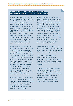#### **Two Approaches to Free Speech Considerations and Campaign Finance Reform: The USA and Canada**

In recent years, several court decisions have gutted political finance reform in the USA. At the heart of these decisions has been the US Supreme Court's insistence that campaign donations are free speech protected by the First Amendment of the US constitution. Such reasoning lay behind the Court's 2010 decision in *Citizens United vs. the Federal Election Commission*, which overturned Congress's Bipartisan Campaign Reform Act and effectively removed all barriers to corporate and union spending to influence federal, state and local elections.

Another ruling by a Circuit Court of Appeals, *SpeechNow vs. Federal Election Commission*, allowed individuals to evade campaign contribution limits through so-called Super PACs. By law, such Super PACs must disclose their contributors and may not coordinate directly with candidates. In practice, both constraints have been flouted. Rich individual donors have donated tens of millions of dollars through shell organizations created to hide the source of the money. Many experts believe that each side in the forthcoming 2012 presidential election will raise over 1 billion dollars.

Writing for the majority in the *Citizens United* case, Justice Anthony Kennedy wrote that 'independent expenditures, including those made by corporations, do not give rise to corruption or the appearance of corruption'. The American people disagree.

A national opinion survey this year by the Brennan Center for Justice at New York University Law School showed that 'nearly 70 per cent of Americans believe Super PAC spending will lead to corruption and that three in four Americans believe limiting how much corporations, unions, and individuals can donate to Super PACs would curb corruption'.49 More than threequarters of respondents agreed 'that members of Congress are more likely to act in the interest of a group that spent millions to elect them than to act in the public interest'.50

Nearly two-thirds of Americans say that they trust government less because big donors have more influence over elected officials than average Americans.<sup>51</sup>

The *Citizens United* ruling has undermined political equality, weakened transparency of the electoral process, and shaken citizen confidence in America's political institutions and elections.

Canada has faced many of the same campaign finance challenges that the USA has struggled with over the past decade. In contrast to the USA, Canada has managed to strike a balance between safeguarding individual speech and protecting the overall integrity of the electoral process.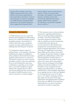Like the USA, Canada in the early 2000s imposed restrictions on the ability of third-party organizations like corporations and labour unions to spend directly on political campaigns. In a 2004 decision upholding these restrictions, the Canadian Supreme Court argued that the government

had the right to restrict some political speech in order to promote other principles, like equality in the political process. Canadian courts have consistently signalled that having greater wealth should not grant an individual or corporation a greater voice in politics.<sup>52</sup>

#### **In Search of Best Practice**

75. Political finance has not received the attention and commitment to reform that it deserves. In a world of increasing economic inequalities, greater concentrations of wealth within democracies, and global economic recession, political finance is a challenge that will only grow in salience.

76. Limiting the nefarious impact of political finance on the integrity of elections is difficult and complex. It is difficult to induce politicians who benefit from loosely regulated political finance to constrain it. Transparency regimes are hard to monitor and enforce, and even when successful, they do not in and of themselves stop excess contributions or spending. As one scholar notes, a successful transparency regime dealing with campaign finance is like a web-cam providing real-time visual evidence of a massive oil spill: the point is not to watch it, the point is 'to stop the sludge'.<sup>53</sup>

77. No consensus exists on what constitutes best practice regarding political finance. There are broad international obligations in Article 7 (3) of The United Nations Convention Against Corruption, which calls on countries to increase transparency in political life while taking into account national law. More detailed and comprehensive recommendations can be found in regional organizations. The Council of Europe, the Organization of American States (OAS), and the African Union (AU), for example, all urge their members to adopt guidelines for political finance within their national legislations. Political finance is intricately bound to the political values and culture of a country. Given that political finance rules are contingent on local legal, political, and cultural conditions, it is not desirable to create one global norm for dealing with political finance. In addition, political finance reform should be approached as an ongoing exercise in which one legislates for the long term but revises in the short term so as to adapt to changing conditions. Here again, the rule of law looms large. Enforcement and implementation of political finance laws are difficult; if not carried out impartially, they can create tremendous asymmetries in political competition.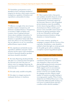78. Nonetheless, good practices can be identified to form a minimum standard of integrity for elections, which require extensive transparency, regulation of donations and expenditures, and penalties for abuse.

### **Transparency**

79. Effective oversight of the role of money in politics requires transparency and disclosure of political finances. Transparency is necessary to fight corruption, and it assists voters in making informed choices about candidates and policies. In the absence of disclosure requirements, donation or expenditure limits make little sense since there is no way of knowing if they are adhered to or not. At a minimum, political finance reports should:

80. Be *comprehensive* and identify income, expenditure, liabilities and assets. Total amounts and the nature of all contributions (in kind or financial) should be specified and donors should be identified.

81. Be *timely*. Reporting should preferably take place on a continuous basis throughout the electoral cycle, but if the aim is to inform voters on campaign financing, the reporting must be available well in advance of election day.

82. Be made easily *available to the public*.

83. Be subject to *stringent sanctions* for inadequate disclosure or timeliness.

# **Restrict and Limit Private Contributions**

84. Most countries believe that parties and candidates should be financed, at least in part, through private contributions as a manifestation of minimum support by the electorate. However, with unregulated private donations comes the possibility of a few donors buying influence over the electoral process. Hence another good practice is the reasonable control of private donations by placing quantitative limits on the size of donations, and through banning anonymous donations, foreign donations or criminal donations.

85. In some countries, spending on campaigns is equated with the exercise of free expression. Nonetheless, a state should be entitled to limit that right on certain grounds for the public good, such as combating corruption or preserving political equality.

#### **Balance Private and Public Funding**

86. As a complement to the private contributions that parties and candidates raise themselves, states can level the playing field among electoral contestants by providing public financial support. Public support can be in non-monetary forms, including access to free media airtime or the free use of public facilities for campaign activities. Indeed a small number of countries use public funding to encourage gender equality. When Croatia adopted its new Political Party Law in 1993, it stated that additional public funding was to be given to political parties that have a woman as their selected candidate.<sup>54</sup>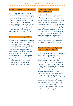## **Restrict the Abuse of State Resources**

87. The abuse of state resources between and during electoral campaigns remains a problem in many countries in the world. The majority of the world's countries have some form of basic regulations against incumbent candidates and parties using state resources for their own benefit.<sup>55</sup> However, since the abuse of public finances is still a widespread practice, a wider concept of what constitutes an abuse needs to be applied together with stronger enforcement of the law.

### **Control Campaign Expenditure**

88. Many countries set caps on campaign expenditures to avoid escalating campaign costs that benefit those with greater resources. Maximum expenditure limits are determined in relation to factors such as the size of the voting population or of the applicable electorate, as opposed to simply setting one maximum limit. If the aim is to design a comprehensive framework, spending limits should include third-party spending and expenses such as staff salaries and opinion surveys. Limits on campaign expenditures should strictly prohibit vote buying.

# **Independent Monitoring and Oversight Authority**

89. Systems with strong transparency requirements will be ineffective if there is no independent institution responsible for receiving, examining and auditing financial reports from political parties and candidates. Such a body should have the power not only to monitor parties' accounts and investigate potential political finance violations but also to impose stringent sanctions where there is non-compliance with the law. Currently about 40 countries lack regulations that oblige any agency to examine financial reports or investigate political finance infringements.<sup>56</sup> This represents a crucial weakness in any process aimed at enhancing a transparent and controlled role for money in politics.

# **The Special Problem of Organized Crime and Political Finance**

**90.** While general political finance regulation at the national level is an important instrument for fighting organized crime's use of political finance as a means of protection and influence, it is not enough. The penetration of transnational organized crime into mainstream politics, and its ability to move finance across borders illicitly, require regional and international efforts to contain it. Yet there is no adequate international approach to addressing the challenge of international criminal networks' infiltration of democratic political processes. There is some international cooperation at the level of law enforcement agencies, but governments and international organizations—not least regional organizations—need to address the issue as a fundamental challenge to democracy. Political leadership is needed to bring this challenge to the highest levels of international policy deliberations.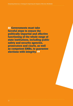**66 Governments must take** forceful steps to ensure the politically impartial and effective functioning of the whole range of state institutions, including public safety and security agencies, prosecutors and courts, as well as competent EMBs, to guarantee elections with integrity. 99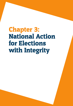# Chapter 3: National Action for Elections with Integrity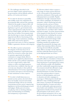91. The challenges described in the previous chapter require national action by governments, elected officials, political parties, civil society and citizens.

92. In order for elections to peacefully and credibly resolve the competition for governmental office and provide a genuine vehicle for the people to express their will as to who should have the authority and legitimacy to govern, governments must ensure equal protection under the laws on election-related rights, and effective remedies when they are broken. Governments must take forceful steps to ensure the politically impartial and effective functioning of the whole range of state institutions, including public safety and security agencies, prosecutors and courts, as well as competent EMBs, to guarantee elections with integrity.

93. The effort to protect and promote the integrity of elections has to be an ongoing commitment. Legal frameworks need to be reviewed to ensure that: there is a genuine opportunity for political contestants to compete fairly; effective remedies can be applied by administrative bodies and the courts; political competitors can turn to legal redress, rather than violence or other extra-legal measures; and citizens have confidence that they can overcome any obstacles to their political enfranchisement. Civil society organizations can monitor and report on the functioning of state institutions in these respects.

94. In order to build democracy as a mutual security system, electoral reform has to be broadly conceived and include institutional design with an eye towards constraining executive power, empowering legislatures, and decentralizing governance and budgets. Media and civil society can play key roles in checking arbitrary power and demanding accountability and transparency in governance.

95. Election-related violence requires a wide range of counter actions that focus on the various goals of the perpetrators, undermine attainment of these goals, and hold perpetrators accountable. Popular mobilization through community-based anti-violence campaigns, development of systematic violence monitoring and early warning networks, and use of citizen reporting through hotlines and websites, in combination with verified information from trained observers, can help to deter violence and limit its impact. Accurate characterization of the integrity (or lack thereof) of various electoral processes, including the accuracy of the official vote tabulation, can remove the basis for unwarranted charges, build public confidence, improve the chances of finding remedies for problems and mitigate the potential for the large-scale violence that sometimes follows elections. Training electoral officials and public safety officers can help to break impunity and deter politically biased actions as well as the disproportionate use of force.

96. Full citizen participation in government and public affairs is a foundation of democratic governance and requires active approaches to removing barriers to participation for women, youth, minorities, people with disabilities and other traditionally marginalized groups. Governments should take affirmative steps, such as quotas, to overcome legacies of disenfranchisement of women and others, review laws and procedures to remove barriers to full participation, and invest in education and other campaigns to encourage it. Political parties should take affirmative steps, including quotas and other means, to promote the leadership and broad participation of women and others who are traditionally underrepresented as party leaders and candidates. Civil society organizations should actively promote the full participation of all citizens, call on the government and parties to do so, and monitor and report on the advances made.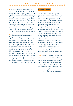97. In order to protect the integrity of elections and limit the nefarious impact of money on democratic governance, regulation of political finance, and public confidence in that regulation, are essential. Although there is no one formula for addressing the threat of unfettered political finance, good practice requires robust disclosure and transparency of donations and expenditures, reasonable control of individual and corporate donations, judicious control of spending, sensible public financing, and stringent sanctions and penalties for non-compliance.

**98.** These actions can be pursued from the top down by governments and politicians who seek to infuse politics and institutions with a democratic ethos, and from the bottom up by citizens and civil society organizations that seek to pressure governments for elections with integrity.57 Ideally, the top-down and bottom-up approaches work together, as top-down reformers are supported by bottom-up mobilizers and government performance is monitored by citizen organizations. Finally, top-down and bottom-up reformers can strengthen their efforts by linking up with like-minded democratic governments and civil society organizations in other countries.

### **Top-Down Efforts**

99. Elected officials can pursue policies that promote and protect the integrity of elections, and use the power of their office to make sure those policies are adopted and practised. Electoral reform, however, is rarely so simple, if only for the basic reason that incumbents who have been elected using rules and practices that benefit them and their party usually have a strong interest in keeping those rules and practices. Nonetheless, there are powerful examples of politicians who have insisted on improving the integrity of elections, even though such improvements were not in their short-term interest. Such leaders are 'principled principals', who by their actions show a commitment to democracy, the rule of law and the public good.<sup>58</sup> Such 'principled principals' can have a formative influence on popular attitudes towards the integrity of elections and the rule of law that supports those elections.

100. But even 'principled principals' come under enormous pressure to renege on their commitments when rules are costly to them and to their supporters. Even if they maintain their commitments under pressure, they must worry about whether the reforms they enact will survive once they leave office. Top-down commitments are always strengthened, therefore, when politicians can be bound to their pledges.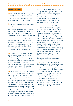# **Bottom-Up Efforts**

101. The most important force for elections with integrity is citizen pressure. When citizens demand electoral integrity, elected officials and political parties have incentives to pursue electoral reform.

102. Citizen groups have been instrumental in many countries in voter education and motivating citizens to vote, as well as monitoring the performance of politicians and parliaments in carrying out promises about and addressing citizen concerns regarding improving elections with integrity. Non-partisan citizen groups have successfully monitored elections in over 90 countries, and have made critical contributions to improving the quality of elections. Citizen groups are increasingly playing a frontline role in advocating for electoral law reform, monitoring election violence, and educating citizens about elections.

103. Alongside the development of nonpartisan election observers, bottom-up efforts require the development of a professional, independent media. Indeed, one important study of electoral malpractice points to an independent media as the single most important factor differentiating countries with elections with integrity from those that lack integrity.59

104. Voters must be appropriately informed in order to make genuine electoral choices, and that requires receiving adequate and accurate information from multiple sources. Media pluralism in ownership and voice, as well as the obligation of state-controlled and public media to provide access to political contestants and to remain free of political bias, are central to voters making informed choices. New communications media, using the Internet and mobile communications technologies, open important channels for information sharing and political expression. They can simultaneously improve electoral

integrity and create new risks of abuse. Citizen monitoring and reporting of media behaviour is another bottom-up activity that can contribute to accountability. Associations of journalists and media owners, too, can contribute significantly to developing responsible media behaviour that fosters elections with integrity.

105. Because of the media's watchdog role, journalism has become a dangerous occupation in some democratic countries. Since 1992, almost 900 journalists have been killed worldwide. The vast majority of journalists killed are local reporters (87 per cent) and in only about 10 per cent of cases are killers brought to justice. Some of the deadliest countries for journalists hold regular elections, such as the Philippines, Russia, Colombia, India, Mexico, Turkey, Sri Lanka, and Brazil. Not all of these deaths have been related to election coverage per se, but such attacks have the potential to diminish the media's role in holding candidates and incumbents accountable. Where a culture of intimidation thrives against the media, its role in upholding the integrity of elections is threatened.

106. Beyond civil society organizations and the media, political parties can be important forces for elections with integrity. Parties serve to articulate and aggregate citizens' choices and, when they win, represent those choices in government. Strong opposition parties can hold incumbents accountable, offer voters a viable alternative, and check any tendencies of their competitors to cheat. Without strong parties in opposition, experiments in democracy remain at the mercy of incumbent holders of power. When multiparty competition wanes, so does political participation.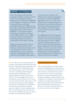# **NAMFREL in the Philippines**

One of the earliest and best-known examples of bottom-up electoral reform comes from the National Citizens Movement for Free Elections (NAMFREL) in the Philippines. Philippines President Ferdinand Marcos called snap presidential elections in 1986, just two years after parliamentary elections that were widely viewed with suspicion.<sup>60</sup> NAMFREL, a non-partisan election watchdog, had organized observers for the 1984 elections, and in 1986 it was able to build on this experience to effectively expose the electoral manipulations of the Marcos regime.

With the help of the Catholic Church, NAMFREL mobilized half a million Filipinos to observe the polling process. The centrepiece of their work was Operation Quick Count, an effort to provide a comprehensive tally of the results from all 85,000 polling stations

in the country as a check on the official count provided by the election commission. In the end, NAMFREL tabulated results from 70 per cent of polling stations, showing enough of a discrepancy from the official results to convince the Filipino public of fraud, thus helping to kick off the People Power revolution that forced Marcos from power.<sup>61</sup>

The 1986 elections in the Philippines were the first in a series of electoral revolutions over the next two decades that spanned from Chile in 1988 to Ukraine in 2004 and beyond, all of which featured domestic observation groups organized to promote electoral integrity in their own countries. These groups show the power of domestic advocacy from civil society groups and the broader public to support the cause of elections with integrity.

107. In order to act as a bottom-up force for elections with integrity, political parties must be built or reformed as open, democratic and responsive vehicles for addressing citizens' needs. Political parties must vitalize their structures, including internal education, communication and discipline, while improving public outreach to learn about citizens' views and engage citizens in the development of party positions. Civil society can call on parties to take such measures, and can monitor and report on their progress. Governments can facilitate the development and functioning of democratic political parties through the reform of political party laws, the structuring of electoral laws and the provision of public financing as incentives for parties to function democratically.

### **Enhancing National Action**

108. Concerted efforts are needed to focus attention and help galvanize commitment to create incentives for governments to improve their elections, and disincentives for those governments that continue to hold flawed elections. To increase the likelihood that incumbent politicians and governments will strengthen the integrity of national elections, synergies are needed among top-down, bottom-up, transnational, and international efforts. Reinforcing commitments and pressures can enhance the promotion and protection of elections with integrity.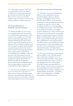109. These efforts should be advanced on several fronts. In the next chapter we address how donors and democratic governments can further this agenda. Here we focus on four cross-border initiatives that can enhance top-down and bottom-up efforts to improve elections:

# The Global Network of Domestic Election Monitors

110. Bottom-up efforts by civil society can strengthen themselves by reaching out to like-minded organizations in other countries. For example, over 150 citizen election monitoring organizations and regional monitoring networks from 65 countries started the Global Network of Domestic Election Monitors beginning in 2009. Created to integrate internationally accepted best practices into the work of citizen election monitoring organizations and to ensure greater transparency, accountability and credibility in electoral processes, the Network pioneered the setting of standards for domestic election monitors through the Declaration of Global Principles for Nonpartisan Election Observation and Monitoring by Citizen Organizations, launched at the United Nations (UN) in April 2012.

111. The Network exemplifies how national actors can help inform each other on topics such as voting technology, public outreach, and maintaining impartiality in the observation process in order to advance citizen participation and electoral integrity.

# The Open Government Partnership

112. The Open Government Partnership (OGP) is a new multilateral initiative founded by Brazil, Indonesia, Mexico, Norway, the Philippines, South Africa, the UK and the USA 'to secure concrete commitments from governments to promote transparency, empower citizens, fight corruption and harness new technologies to strengthen governance'. The OGP seeks to encourage governments who support greater transparency to work with their own civil society to develop specific, measurable goals for transparent government and then pledge simultaneously to their own citizens and to a group of like-minded governments their commitment to meeting those goals. The OGP involves new and old democracies from around the world, and includes input and advice from transnational civil society organizations such as the Open Society Foundation and Transparency International.

113. We urge principled governmental and political leaders to join with like-minded states and partner with their own civil societies through the OGP to make public commitments and take actions to promote and safeguard elections with integrity, including through opening dialogues in their countries with interested constituencies and translating action items identified in those dialogues into policies, legislation and implementation mechanisms—including action on the independence of EMBs and regulation of political finance.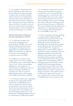114. Among these commitments and actions should be specific initiatives to promote plurality in media ownership, to require state-controlled and public media to function free of political bias, and to provide accurate and balanced information about electoral competitors. The commitments and actions should also remove any barriers to public access and use of new communications technologies, and prevent abuse of such technologies for incumbent political gain or retribution.

# Global Certification of National Electoral Management Bodies

115. As discussed in Chapter Two, ensuring the independence and professionalism of EMBs is one of the foremost challenges facing elections with integrity. To help promote the independence and professionalism of EMBs, the Commission recommends the creation of an international certification process for EMBs.<sup>62</sup>

116. EMBs from around the world should organize and create a voluntary certification process in which EMBs submit to peer review of their professionalism, independence, and competence. An important part of creating such a process requires developing a declaration of principles and a code of conduct for administering elections with integrity, which EMBs would endorse and follow.

117. Certification would create a signalling mechanism. By earning gold standard certification, an EMB signals that it values its professional reputation and, as importantly, its government signals that it values electoral integrity. In turn, governments that want a reputation for electoral integrity would need to avoid encroaching on EMB independence for fear of endangering the EMB's gold standard.

118. Certification would reinforce the selfidentity of electoral officials as members of a profession, with a set of qualifications, training, and ethics. Certification would provide EMBs with access to peer support, international professional networks, and capacity-building resources that would help them achieve this goal. Certification would also put normative pressure on EMBs that fail to meet standards of professionalism and independence, encouraging improvement even in countries where elected officials try to bend EMBs to their will.

119. Such a mechanism could take advantage of existing initiatives. Regional EMB networks exist in most parts of the world, and groups like the Global Electoral Organization and the ACE Electoral Knowledge Network already bring together election administrators and experts from around the globe.<sup>63</sup> For example, the Organization of American States holds an annual Inter-American Meeting of Electoral Management Bodies, at which electoral authorities from member states can share knowledge and best practices. In addition, in close collaboration with the International Organization for Standardization (ISO), a working group from the OAS has recently drafted the first International Standard for Electoral Assurance, ISO 17582, which will establish minimum requirements that EMBs should meet in order to guarantee the integrity of elections. This standard, which is expected to be approved by the end of 2012, could provide an important first step in establishing the process proposed above.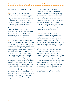# Electoral Integrity International

120. To augment and amplify the above efforts, we propose the creation of a new civil society organization—called Electoral Integrity International—that is dedicated to bringing global attention to countries that succeed or fail to organize elections with integrity. Such an organization could be to electoral malpractice what Transparency International is to corruption. It would fill a key niche in helping to promote accountability on electoral issues by providing an avenue for increasing normative pressure on governments to hold elections with integrity.

121. At present, there is no transnational organization dedicated to publicly pressuring governments to improve the quality of their elections. It is often assumed that this is the job of international election observer groups, but such groups are sometimes hesitant to publicly criticize the governments of the elections they observe, for two reasons. First, observer groups need continued access, without which they are unable to provide information on election quality on an ongoing basis. Second, many observer groups believe it is their job to report, and not to shame governments. They want elections to improve, but insist it is not their job to publicly pressure governments to improve their election quality. As we explain in the next chapter, international observers have made important contributions to improving electoral quality worldwide, and donors can make better use of observer reports to further strengthen the integrity of elections.

**122.** The job of publicly pressuring governments should fall to others—to domestic citizens foremost, but also to donor governments and transnational democratic civil society organizations. But as we discuss in the next chapter, donors, democratic governments, and international and regional organizations have not been adequately engaging on questions of electoral integrity in the run-up to elections, and they have been weak in following up on questions of electoral integrity after elections.

123. A transnational civil society organization like the proposed Electoral Integrity International would allow citizens and civil society to engage where governments fear to tread. Such an organization could compile information from noted international and domestic observers and other reliable sources, particularly for key elections projected in an upcoming two-year period, and grade the electoral environment in the countries concerned. A yearly election report on every such country would allow citizens to see how their country's elections fare against international standards and, over time, to track whether electoral integrity in their country is getting worse or better. Such information could form the basis for domestic pressure on national governments to improve the integrity of elections and on democratic governments to engage more actively in promoting and protecting electoral integrity elsewhere.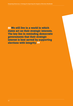We still live in a world in which states act on their strategic interests. The key lies in reminding democratic governments that their strategic interest is best served by supporting elections with integrity. 99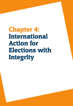Chapter 4: International Action for Elections with Integrity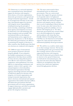124. Democracy is a universal aspiration and a transnational norm. International support for elections with integrity from citizens, civil society organizations, democratic governments, and regional and intergovernmental organizations—should be encouraged and welcomed. At the same time, international support for elections with integrity incurs responsibilities, including honouring the principle of local ownership, committing to build the local capacity and institutions necessary for democracy to be self-sustaining, and being transparent and accountable. Like international efforts at development and humanitarian action, supporters of democracy should strive to 'Do No Harm'. For democratic governments to be effective in promoting the integrity of elections in other countries, they should ensure that their own elections are conducted with integrity.

125. Different types of international actors promote and protect electoral integrity globally. A non-exhaustive list includes transnational civil society organizations that help citizens mobilize for clean elections, help political parties to be effective and constructive political competitors, assist parliaments to be more effective in representing constituents, and empower women to have a greater voice and participation in electoral politics; international organizations that help organize and manage elections and attempt to build local capacity for elections with integrity; civil society organizations and intergovernmental organizations that observe elections; international and regional organizations that mediate electoral conflicts; and democratic governments that fund governments and civil society organizations to support democracy, and which occasionally engage diplomatically to promote and protect the integrity of elections.

126. The most controversial of these international actors are democratic governments. They are controversial because their support for genuine elections too frequently tends to be haphazard and compromised by competing national interests. While their rhetorical support for elections with integrity may be constant, their record of responding to flawed elections is not. In some cases, their interest lies in bolstering a preferred candidate, not in an election with integrity per se. Too often, democratic governments have turned a blind eye to electoral malpractice by regimes and incumbents with whom they have friendly relations. Extending back to the Cold War era, the historical record includes support for coups and interventions that undermined popularly elected governments.

127. We still live in a world in which states act on their strategic interests. The key lies in reminding democratic governments that their strategic interest is best served by supporting elections with integrity. Not only do democratic governments share an interest in the spread of democracy as a bulwark for international peace, but they must also learn that their bilateral relations are strengthened when their partners have democratic legitimacy earned through genuine elections.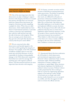#### **International Support for Democracy: Best Practice Begins at Home**

128. One of the most important roles that democracies can play in helping to support elections with integrity elsewhere is to model best practice through their own electoral behaviour. Democracies that honour the integrity of elections provide compelling examples for others. When they are older democracies, which traditionally have been donors of international assistance, it provides evidence of sincerity and commitment: they walk the walk and don't just talk the talk of elections with integrity. When they are younger, poorer democracies, they give lie to the myth that elections are a luxury that the poor cannot afford.

129. We are concerned when older democracies send harmful signals to the rest of the world regarding the integrity of elections. For example, in the USA, hundreds of millions of dollars spent on non-stop attack ads with little disclosure of who is responsible for funding is doing palpable damage to the USA's democratic reputation. Such behaviour sends the message that anything goes with regard to political finance, and that moneyed interests are more important than elections with integrity.

**130.** In Europe, economic recession and the pressure of bad debt are putting democracy under great strain. The politics of spending cuts and budget austerity, whatever their merit, are difficult for all modes of governance, democracy included, but it is striking how quickly European leaders have fallen into a technocratic trap, believing that public legitimacy is not needed to make and implement difficult economic decisions. When the European Union (EU) tells elected politicians that they have no choice but to implement radical austerity measures, it tells the people of those countries that they can 'choose governments but not policies'.64 When leaders in older democracies appear to fear their own voters, it sends a chilling message to the rest of the world about basic confidence in democratic practice.

# **International Engagement with Flawed Elections**

131. Egregiously flawed elections undermine all of the goals to which democracies and international organizations aspire. Electoral violence undermines basic security and human rights. Political instability undermines economic confidence and contributes to capital flight. When elections lack domestic legitimacy, the likelihood of political violence increases. Political violence is often perpetrated by those seeking to hold on to power by suppressing opposition support in the lead-up to polls, though it can break out on a large scale when election results themselves are not accepted as credible, and when the aggrieved sides seek to overturn the official outcome.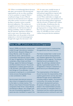**132.** When overwhelmingly flawed elections take place, governments and international organizations are far too often unwilling or not in a position to respond. Only in a small percentage of cases of flawed elections do international actors respond with either positive incentives to address the flaws or punitive action to punish electoral malpractice. The reasons are straightforward and relate to larger state considerations of vital interests, fears of stoking instability, a lack of confidence that the domestic opposition will prevail, and in some cases, uncertainty about whether flaws were the product of electoral malpractice or electoral mismanagement, though both negate the electorate's will.

133. In some cases, usually because of large-scale violence, governments or international organizations respond with mediation. Such efforts have a mixed record. When undertaken to simply end post-election violence, such mediation runs the risk of providing political opponents with the incentive to foment such violence in the first place. If politicians face the choice between losing an election and giving up power, or using violence to extort their way into a government of national unity, we will likely see more, not less, violence from post-election mediation.

## **Kenya and DRC: A Contrast in International Engagement**

Kenya's 2008 post-election violence was ended through international mediation by Kofi Annan, Benjamin Mkapa and Graça Machel, under the aegis of the African Union, with broad but coordinated international support. After 41 days of negotiations, the presidential contenders, Mwai Kibaki and Raila Odinga, signed the National Dialogue and Reconciliation Accord. The accord established a coalition government on a 50–50 basis, with Kibaki as President and Odinga as Prime Minister. It also produced a roadmap for a constitutional review process that granted Kenya a new constitution in 2010.

Synchronized international pressure was critical in bringing the principals to the table in a timely manner. The African Union Panel of Eminent Persons, composed of Kofi Annan, Graça Machel and Benjamin Mkapa, was charged with the role of facilitating negotiations. The panel was also mandated to support the

coalition government in implementing the agreements that were reached.

The Panel insisted that in order to end the cycle of violence during elections, any ceasefire agreement must include a long-term reform agenda. The Kenyan National Accord succeeded in this regard. By outlining a detailed reform agenda, it guaranteed space for the renegotiation of Kenya's institutions of governance by all interested groups.

The implementation of the National Accord has been the responsibility of the coalition government, but has also been effected through various stakeholders including religious leaders, the business community, civil society, the media and Kenya's development partners. All sectors of Kenyan society are now vested in the implementation process, which provides an invaluable check on Parliament and the coalition government. International actors continue to work with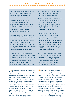the government and these stakeholder groups. The Panel's engagement still continues in anticipation of next year's elections in Kenya.

The Kenyan model—sustained international engagement with empowered local ownership—stands in dramatic contrast to approaches to electoral malpractice in the Democratic Republic of Congo (DRC) during roughly the same period.

In the Democratic Republic of Congo, the 2006 presidential elections were also clouded in controversy. Despite massive international support, these elections were also accompanied by violence, but not at the levels of Kenya in 2008. Nonetheless, the conduct of the elections threw the country into an extended crisis that lasted nearly six months.

While there was much international involvement and assistance to the DRC in the run-up to the 2006 election, little follow-up occurred in its aftermath. International and domestic actors quickly returned to business as usual, and little thought was given to how the

DRC could assure that its next elections in 2011 would be peaceful and win public confidence and legitimacy.

Over a year before the November 2011 election, national and international democratic organizations and human rights groups warned that President Joseph Kabila was manipulating election rules and institutions. Such alarms went unheeded.

The 2011 polls in the DRC were abysmally run, prompting local groups to cry fraud and opposition politicians to claim that the election had once again been stolen by Kabila. International observers reported that it was impossible to ascertain who had won. Violence broke out throughout the DRC, prompting thousands of citizens to flee their homes.

Despite it being an egregiously flawed election, little diplomatic attention and energy was spent to try to manage the conflict. There continues to be no concerted effort to ensure that the next elections in the DRC are not a repetition of 2006 or 2011.

134. Research for the Commission suggests that if international actors have not engaged with a country during the run-up to a flawed election, they are extremely unlikely to engage once such an election takes place.65 And when international actors wait until egregiously flawed elections take place, their choice of instruments tends to narrow: they can rely on punitive measures and sanctions, risking that there will be little short-term effect on the election results, or they can engage in mediation that risks abrogating the legitimacy of an election by producing an outcome that does not reflect the people's will.

**135.** The same research shows that when international actors engage before potentially flawed elections and use positive incentives or mixed positive/punitive strategies, the quality of the elections often improves on voting day. Early international engagement does not turn egregiously flawed elections into exemplars of electoral integrity. But we do see evidence of positive change in election quality that can be built upon. And it suggests that if there is follow-up, if there is long-term attention, and if election observation reports are used as part of a long-term dedicated process of improving electoral integrity, then we will see even greater positive change.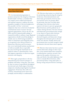# **The International Community Must Have Red Lines**

**136.** An international programme to promote and protect the integrity of elections should include 'red lines', a standard that can compel a more unified international and regional response to address the most egregious examples of electoral malpractice. One possible 'red line' is electoral malpractice that rises to the level of unlawful constitutional seizure of power. Several regional organizations, such as the AU, the OAS, and the Commonwealth, pledge to respond forcefully to military coups. Regional organizations should extend that pledge to include cases in which losing incumbents refuse to stand down and relinquish power, as recognized in the African Charter on Democracy, Elections and Governance (Art. 24.4.) and should institute mechanisms to hold accountable those responsible for cases involving the intentional use of political violence to disenfranchise voters and suppress opposition or otherwise negate elections with integrity.

137. Here again, preparedness is the key. International actors must be attentive to problems well before voting day. They must be clear in terms of expectations throughout the electoral cycle. Early signs of electoral malpractice should prompt high-level political engagement. If elections then still cross red lines, international actors must react promptly and forcefully in condemnation.

## **International Election Observation**

138. Election observation is a critical tool for promoting and protecting the integrity of elections. International donors and democratic governments, however, have not used the tool to its greatest effect. In particular, they have not fully taken advantage of pre-election observation reports to do more to prevent egregiously flawed elections and the political use of violence during elections. Nor have donors and democratic governments done enough to use observer reports after elections to strengthen political processes of electoral integrity and democratic change throughout the electoral cycle in advance of the next election. Finally, donors and governments have not done enough to build up domestic electoral observation capacity.

139. Election observation has been a potent tool for democratic change in three ways: first, it has assisted democratic transitions in authoritarian countries; second, it has improved the quality of elections over time; and third, it has aided diplomacy that seeks to remedy flawed elections, either preventively before voting takes place or during voting and post-election counting.<sup>66</sup>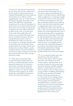140. Between 1990 and 2005 international election observation become a global norm, and the numbers of observation missions expanded dramatically. Given this expansion, if observation was an effective tool for expanding democracy, one would expect that all things being equal, observation would make it more difficult for authoritarian incumbents to be re-elected. And indeed, the data bear this out. In that period of electoral observation, the percentage of authoritarian incumbents who were re-elected declined by almost 40 per cent.<sup>67</sup> In certain parts of the world, most notably Africa, the decline was even greater. Obviously, many factors contribute to transition elections, and electoral observation is only one. Nonetheless the results over time and across regions are strikingly consistent with the hypothesis that electoral observation promotes democratic change. The fact that elections that are observed lead to greater incumbent turnover than elections that are not observed is again consistent with the idea that electoral observation helps to produce democratic change.

141. Many observation groups aspire to assist the long-term improvement of elections in countries that claim to desire democratic change. Here the results are mixed, with one scholar reporting that where observation missions repeatedly deploy to a country over time, the quality of elections tends to improve; for another scholar, this result holds for Central and Eastern Europe but not elsewhere.<sup>68</sup>

142. For the most professional and experienced observation groups, the old stereotype of observers parachuting into a country a week before elections, and focusing solely on malpractice on voting day, is simply wrong. The best observers have learned that electoral fraud and malpractice often take place months and sometimes years before an election, and that election observation must be engaged much earlier in the electoral cycle. Empirical evidence shows that even as early as 2005, the most experienced observer missions were much longer than they were in the early 1990s. Key observer organizations endorsed the 2005 Declaration of Principles for International Election Observation and its code of conduct, which harmonized the standards for observation. The net result is that observers now regularly produce information that would enable democratic governments, international organizations, and regional organizations to engage more knowingly (and earlier) on more fundamental processes of electoral integrity.

143. As we noted previously, early action and attention, when tied to positive incentives, often improve election quality. Such early action should be the norm, not the exception. And beyond the use of pre-election reports for early action, longterm donor assistance should be explicitly linked to recommendations by electoral observer reports in order to achieve greater synergy of efforts at building self-sustaining, local democratic governance. It should become common practice that there is in-country, post-election dialogue among international observer groups, domestic observer groups, electoral authorities and political actors in countries in which elections have been observed. Such dialogue should identify areas for reform efforts, consider potential international assistance for such reforms, and enhance the joint preparedness for the next elections.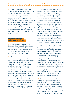144. These changes should be matched by a large investment in building the capacity and credibility of domestic election observation. In the long run, domestic actors are the critical constituency for elections with integrity. As we stated in Chapter Three, non-partisan citizen groups have successfully monitored elections in over 90 countries, often making critical contributions to elections with integrity. In turn, these citizen groups now form a promising global network of domestic monitors that routinely share best practice and discuss strategies for best achieving results.

# **Capacity Building for Democratic Governance**

145. Democracy must be locally owned. There must be an energetic and mobilized constituency for democratic change. And there must be domestic institutions that respect democratic norms and have the capacity to deliver services.

146. International donors invest several billion dollars every year to build local capacity for democratic governance. Despite the size of this investment, it is difficult to evaluate whether the assistance is effective in building such capacity. While some of the difficulty lies in the nature of the task, some fault lies with donors, aid providers, and project developers and managers who have not prioritized evaluation and have not incorporated best evaluation practice into the design of their projects. All too often, projects are evaluated by output, rather than outcome. All too often, projects are aimed at improvement of public administration and have little or no connection to democratic governance and the political process that is required for it to function.

147. Capacity for democratic governance involves both technical advice and political incentives. International assistance is often bemoaned as supplying technical fixes for political problems, but technical advice, resources, and innovation can be key ingredients for improving electoral integrity. To give two important examples, the technique of parallel vote tabulation by independent civil society organizations and political parties can improve confidence in results and diminish post-election volatility. Community-based anti-violence campaigns, development of systematic violence monitoring and early warning networks, and use of citizen reporting through hotlines and websites in combination with verified information from trained observers can deter and limit the impact of electoral violence.

148. Where international assistance falls short is in addressing the political aspects of democratic capacity building. Often projects underachieve, not because of the failures of project designers, but because national governments and local leaders see few incentives to go beyond cosmetic changes and fully embrace the democratic ethos behind projects. Just as frequently, donor governments do not provide political support, encouragement and incentives for national governments to implement them. That is to say, donors often fail to provide the political stewardship that facilitates successful implementation. International assistance must go beyond technical advice and create political incentives for implementation.

149. Assistance must also adapt to new challenges facing democratic governance. For example, international donors need to consider what EMBs require to respond to new challenges such as oversight of public and private funding of parties and campaigns, regulation of political media and advertising, and ensuring the transparency and accountability of technological innovations.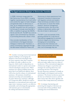# **The Egypt-Indonesia Dialogue on Democratic Transition**

In 2008, Indonesia inaugurated the Bali Democracy Forum (BDF), bringing together representatives from both within and outside the region to foster dialogue and generate ideas on democracy in Asia. As an intergovernmental forum, the BDF has grown from 42 countries in its first year to include more than 80 in 2011, in addition to groups like ASEAN, the EU and the UN. The BDF has come to signal a real commitment by Indonesia to promoting democratic values in Asia.

One concrete manifestation of this commitment is the Egypt-Indonesia Dialogue on Democratic Transition, a series of workshops organized through the Bali-based Institute for Peace and

Democracy to share experiences from Indonesia's transition to democracy with Egyptian activists and leaders. These workshops provided a forum for discussion on issues like media freedom, electoral management, transitional justice, the role of the military in democratic politics and the role of Islam in democracy.<sup>69</sup>

The BDF is just one example of the growing potential for a new kind of international engagement to promote electoral integrity and democracy. Emerging and consolidating democracies like Indonesia can take a more prominent role in this area, and increasingly they are.

150. Another worrying trend of international capacity building is encouraging the adoption of electoral technologies that are more expensive than their countries are likely to be able to afford over the long run, which results in dependency on international vendors to operate and control critical technologies and processes. Much assistance for capacity building misses the point that if you build local capacity, there will be less need for reliance on international assistance. All assistance should have national ownership and sustainability as its goals. Democracy assistance, although it is a long-term effort, should not result in dependency on international intervention and supervision. Assistance must be cost effective, sustainable, and technologically appropriate, with attention given to benchmarks for ending international assistance.

# **Overcoming Strategic Incoherence in Democracy Assistance**

151. Democracy assistance, as designed and delivered today, suffers from two types of incoherence. First, international supporters of democracy disagree on priorities and strategies for assisting democracy and promoting elections with integrity. Second, democracy assistance is usually an afterthought in development and security assistance. The former incoherence prevents the best use of limited resources, and the latter means that other donor agendas and interests often trump democracy assistance.

152. A strategy of promoting and protecting the integrity of elections can overcome both of these problems. Such a strategy has several dimensions: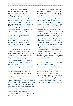153. *First*, donors should prioritize helping governments and citizens overcome the five basic challenges to the integrity of elections described in this report: building the rule of law; creating professional, capable, and independent EMBs that conduct transparent elections that merit public confidence; building democracy as a mutual security system by diminishing winner-take-all stakes and supporting political opposition and parties; removing barriers to equal participation; and controlling political finance.

154. *Second*, donors must help build the capacity of local citizens to monitor, report, and assess their own elections. For democracy to be self-sustaining, domestic election observation must complement—and ultimately supplant international election observation.

155. *Third*, there must be much better strategic use of election observer reports, both international and domestic, to improve the long-term integrity of elections. Donor governments should use observer preelection reports to engage with governments and civil society before troubled elections take place. In the aftermath of elections, it should be standard procedure for international and domestic observers, civil society, donors, and governments to assess their performance and set benchmarks and priorities for greater integrity of elections in anticipation of the next polls.

156. *Fourth*, in order for this approach to work, donors will have to change their approach to funding election activities, which tends to boom and bust—vast amounts spent near election day, and little spent before or after. The approach put forward here requires that donors spend more outside election years to strengthen EMBs, voter education, electoral reform and other long-term activities that can level the electoral playing field, and less on elections themselves.

157. *Fifth*, donors will need to understand the critical truth that elections are part of the broader political process and fabric of a society that must be scrutinized and held to account. Without a democratic political process leading to and beyond elections, there will be neither elections with integrity nor a democratic relationship between citizens and their government. While there is a role for technical assistance in promoting and protecting the integrity of elections, it is not a substitute for political attention and engagement. Technology for democracy must be accompanied by diplomacy for democracy. This need not be heavy handed; indeed, it is best done with a soft touch. Some of the most important assistance in building democratic governance capacity is through dialogue and sharing of experiences. One of the most important developments in this regard is the willingness of newer democracies—many of which face challenges that the traditional democracies do not, such as poverty, societal divisions, religious and ethnic polarization, and military interference in politics—to share lessons with one another while making it clear that the integrity of elections is necessary for democratic legitimacy.

158. *Sixth*, donors must strive to overcome their own assistance incoherence, in which democracy assistance, development assistance, and security cooperation are treated as separate activities. Democracy, security, and development are linked. International security and development policies profoundly affect the opportunities for strengthening electoral integrity and other aspects of democracy. All too often, development and security assistance take forms that undermine democratic processes.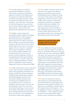159. *Seventh*, changes are needed in international development assistance and security cooperation; in particular, support for elections with integrity, and the capacity and institutions that make such elections possible, should be treated as integral to development and security assistance. This will require a framework in which development is concerned with basic freedoms, political rights, and citizen empowerment—and security is best guaranteed through democratic governance.

160. *Eighth*, in such a framework, development should contribute to building political pluralism as well as modes of democratic governance and political culture that lower the stakes of elections. Much of today's international development assistance effectively favours the executive branch of government. Even civil society support, if it is not sensitive to political and economic inequalities in societies, can exacerbate political imbalances in the democratic process. Donors and partner countries should give priority to strengthening the full range of political actors involved in a country's democratic process, including parliaments, political parties in opposition, and government, independent media and independent EMBs.

161. *Ninth*, international security cooperation needs to give far greater consideration to policies and programmes that bolster the integrity of elections. Security assistance and partnerships should value and foster the political pluralism and rule of law that sustain stability and democracy in the long run. Fraudulent elections are associated with civil violence and instability, and put human security at risk. If the political events of 2011–2012 have demonstrated anything, it is that security partnerships with leaders who maintain power through sham elections are built on sand. True security is best established on the bedrock of democratic legitimacy.

162. Post-conflict countries require special attention in this regard. International organizations and donor governments should approach peace building as a longterm process that requires open political competition in order to structure societal conflict and its resolution. Democratic competition should not be sacrificed on the altar of short-term stability. This requires international custodians of peace agreements to take seriously the task of building democracy as a mutual security system, and the need to craft agreements among former warring parties that diminish winner-take-all politics.

# **Democracy and Elections with Integrity and the Post-2015 Development Framework**

163. As we finish our work, governments and civil society have begun to consider the post-2015 development framework, when the deadline that was set for meeting the MDGs will expire. We urge that the new framework acknowledge that freedom and political equality are essential to development, and emphasize the need for people everywhere to participate in the political decisions that affect them. Important work has already been done on this by newer democracies, led by Mongolia, which felt that the original eight MDGs ignored the centrality of democracy in development and created a ninth MDG that focused on human rights, democratic governance and anti-corruption.

164. In this new framework, elections with integrity are both benchmarks and instruments. Elections with integrity best guarantee freedom, political equality, and democratic accountability. A programme for delivering elections with integrity—with its emphasis on inclusion, transparency, and accountability—can be catalytic for better governance, more substantiated rights, greater security and human development.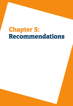# Chapter 5: Recommendations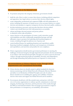#### **Recommendations at the National Level**

- 1. To promote and protect the integrity of elections, governments should:
- build the rule of law in order to ensure that citizens, including political competitors and opposition, have legal redress to exercise their election-related rights;
- create independent, professional and competent EMBs with full independence of action, including the assurance of timely access to the necessary finances to conduct elections and mandates to organize transparent elections that merit public confidence;
- develop institutions, processes, and networks that deter election-related violence and, should deterrence fail, hold perpetrators accountable;
- **•**  reform and design electoral systems and pursue policies to diminish winner-take-all politics;
- remove barriers to the participation of women, youth, minorities, people with disabilities and other traditionally marginalized groups, and take affirmative steps to promote the leadership and broad participation of women, including through the judicious use of quotas; and
- **•**  control political finance by regulating donations and expenditures, public financing of political campaigns, disclosure and transparency of donations and expenditures, and sanctions and penalties for non-compliance.
- 2. Citizen organizations should monitor government performance in meeting the challenges of electoral integrity through impartial and systematic election monitoring, in accordance with international principles; through civic action to prevent electoral violence; through monitoring media accountability, diversity, and independence; and through demanding that political parties are responsive to citizen needs.

# **Recommendations to Enhance National Action Through Citizen Empowerment and Transnational Partnerships**

- 3. Citizen election observers should commit to global standards for domestic election monitoring with the Global Network of Domestic Election Monitors and adhere to its Declaration of Global Principles and code of conduct. Donors should invest in building the capacity and credibility of domestic election observation and support the Global Network and its members.
- 4. Governments should join with like-minded states and partner with their own civil society organizations to embrace specific commitments on electoral integrity, the financing of elections, and the protection of free media through the OGP, an international initiative that encourages governments to improve their performance on transparency, accountability, and inclusion.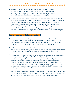- 5. National EMBs should organize and create a global certification process with which to evaluate and grade EMBs on their professionalism, independence, and competence—including developing a voluntary declaration of principles and a code of conduct for administering elections with integrity.
- 6. Foundations and democratic shareholders should create and fund a new transnational civil society organization—called Electoral Integrity International—that is dedicated to bringing global attention to countries that succeed or fail in organizing elections with integrity. Such an organization could be to electoral malpractice what Transparency International is to corruption. It would fill a key niche in helping to promote accountability on electoral issues by providing information, analysis, and other avenues for increasing normative pressure on governments that fall short of elections with integrity.

# **Recommendations at the International Level**

- 7. Donors should prioritize funding of the activities to promote and protect elections with integrity that we have highlighted in this report, with priority given to helping countries overcome the challenges of holding elections with integrity, and investing in building the capacity and effectiveness of domestic election observation.
- 8. High-level international and regional attention should be directed and appropriate measures taken to address the growing threat to democracy that is posed by the financing of political campaigns, parties and candidates by transnational organized crime.
- 9. Democratic governments, regional organizations, and international organizations should stand up for electoral integrity before elections take place. To do so, they must be more proactive and engaged throughout the electoral cycle of countries with problematic elections. If mediation is needed, it should be undertaken well before voting takes place, and aim to ensure that in divided societies elections do not yield winner-take-all results. Follow-up should not focus solely on technical improvements to elections, but should seek to open the dialogue and citizen participation required for the democratic political process that elections with integrity both need and serve to create.
- 10. Regional organizations should create and clearly communicate their 'red lines'—prohibitions of egregious electoral malpractice that, if violated, would trigger multilateral condemnation and sanction. These organizations must then take action if these lines are crossed.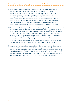- 11. Long-term donor assistance should be explicitly linked to recommendations by election observers, starting at the beginning of the electoral cycle rather than shortly before new elections. It should become common practice that there is in-country, post-election dialogue among international and domestic observer groups, electoral authorities and political actors to identify areas for reform efforts, consider potential international assistance for such reforms, and enhance preparedness for the next elections. Subsequent electoral observation and revised recommendations can then form the basis for changes in assistance strategies to ensure that the fundamental principles of electoral integrity are being respected.
- 12. Donors should better integrate democracy and the integrity of elections with development and security assistance. Development should contribute to building political pluralism, as well as modes of democratic governance and political culture that lower the stakes of elections in insecure environments. Donors and partner countries should give priority to strengthening the full range of political actors involved in a country's democratic process, including parliaments, political parties in opposition and government, independent media and independent EMBs. International security cooperation needs to adapt to give far greater consideration to policies and programmes that foster political pluralism and competition to sustain stability and democracy in the long run.
- **13.** As governments, international organizations, and civil society consider the post-2015 development framework, greater priority should be given to political freedom as a building block of development and the need to provide much greater scope and capacity for people everywhere to participate in the political decisions that affect them. The post-2015 framework should include specific programmes and goals for delivering elections with integrity, with an emphasis on inclusion, transparency, and accountability.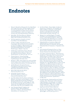# Endnotes

- 1 Monty G. Marshall and Benjamin R. Cole, *Global Report 2011: Conflict, Governance, and State Fragility* (Vienna, VA: Center for Systemic Peace, 2011). The report is an annual publication of scholars closely associated with the Polity project, which scores regimes on a 20-point scale, from authoritarianism to democracy.
- 2 Susan Hyde, *The Pseudo-Democrat's Dilemma: Why Elections Became an International Norm* (Ithaca, NY: Cornell University Press, 2011).
- 3 All of the definitions of integrity are drawn from *Webster's New World Dictionary*.
- 4 Carolien van Ham, 'Clean Elections, Good Governments? Electoral Fraud and Accountability in Third Wave Regimes', Paper presented at the Workshop on Challenges of Electoral Integrity, International Political Science Association World Congress. Madrid, 7 July 2012.
- 5 Claudio Ferraz and Frederico Finan, 'Electoral Accountability and Corruption: Evidence from the Audits of Local Governments', *American Economic Review*, 101 (June 2011), pp. 1274–1311.
- 6 Thomas Fujiwara, 'Voting Technology, Political Responsiveness, and Infant Health', Unpublished paper (November 2010).
- Benjamin A. Olken, 'Direct Democracy and Local Public Goods: Evidence from a Field Experiment in Indonesia', *American Political Science Review*, 104 (2010), pp. 243–67.
- 8 Aila M. Matanock, *International Insurance: Why Militant Groups and Governments Compete with Ballots Instead of Bullets*, Doctoral Dissertation, Stanford University (2012).
- 9 Robert Dahl, *Polyarchy* (New Haven: Yale University Press, 1971).
- 10 Jack Knight and James Johnson, *The Priority of Democracy* (Princeton: Princeton University Press, 2011).
- 11 Jean-Marie Baland, Karl Ove Moene and James A. Robinson, 'Governance and Development', in Dani Rodrik and Mark Rosenzweig (eds), *Handbook of Development Economics*, Vol. 5, (2010), pp. 4597–656. See also Daron Acemoglu and James Robinson, *Why Nations Fail: The Origins of Power, Prosperity, and Poverty* (New York, NY: Crown Publishers, 2012).
- 12 Amy Alexander, Ronald F. Inglehart and Christian Weltzel, 'Measuring Effective Democracy: A Defense', *International Political Science Review*, 33/1 (2012), pp. 41–62.
- 13 See Patrick Merloe, 'Human Rights: the Basis for Inclusiveness, Transparency, Accountability and Public Confidence in Elections', in John Hardin Young (ed.), *International Election Principles: Democracy and the Rule of Law* (Chicago, Ill: American Bar Association, 2009), pp. 3–39.
- 14 Margaret Levi and Brad Epperly, 'Principled Principals in the Founding Moments of the Rule of Law', in James Heckman, Robert L. Nelson and Lee Cabatingan (eds), *Global Perspectives on the Rule of Law* (London: Routledge, 2010), pp. 192–209.
- 15 Independent Review Commission, *Report of the Independent Review Commission on the General Elections held in Kenya on 27 December, 2007* (Nairobi: Independent Review Commission, 17 September 2008).
- 16 Ibid.
- 17 Lucas Issacharoff, 'Keeping the Peace in a Tense Election: Ghana, 2008', *Innovations for Successful Societies*, Princeton University (January 2010).
- 18 Susan Hyde and Nicholay Marinov, 'Which Elections Can Be Lost?' Manuscript, Yale University (2011). The NELDA dataset is available at http://hyde.research. yale.edu/nelda/. Also see Leonardo Arriola and Chelsea Johnson, 'Election Violence in Democratizing States', Paper presented at the American Political Science Association annual conference. Seattle, WA, September 2011. The NELDA dataset, as well as Arriola and Johnson, use different measures of violence over different time periods (1960–2006 and 1985–2005, respectively) but both find that around 20 per cent of elections experience violence. In addition, a 2010 United Nations study found that 20 per cent of elections held worldwide during 2008 involved electoral violence that resulted in death. See Philip Alston, *Report of the Special Rapporteur on Extrajudicial, Summary or Arbitrary Executions: Addendum on Election-Related Violence and Killings*, submitted to the United Nations Human Rights Council, Fourteenth Session, Agenda Item 3 (21 May 2010).
- See Shola Omotola, 'Explaining Electoral Violence in Africa's "New" Democracies', *African Journal of Conflict Resolution*, 10/3 (2008), pp. 51–73; deaths estimated by Human Rights Watch, 'Post-Election Violence Killed 800,' 17 May 2011, available at: http://www.hrw.org/news/2011/05/16/ nigeria-post-election-violence-killed-800.
- 20 See Sylvester Odion Akhaine, 'Nigeria's 2011 Elections: The "Crippled Giant" Learns to Walk?' *African Affairs*, 110/441 (2011), pp. 649–55.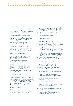- 21 See Akhaine and Human Rights Watch.
- 22 See Human Rights Watch and International Crisis Group, 'Lessons from Nigeria's 2011 Elections', Africa Briefing No. 81, 15 September 2011, available at: http://www.crisisgroup.org/en/regions/ africa/west-africa/nigeria/B81%20Lessons%20 from%20Nigerias%202011%20Elections.aspx.
- 23 Elisabeth J. Wood, 'Challenges to Political Democracy in El Salvador', Paper prepared for the Conference of the Latin American Studies Association. Washington, D.C., 5–8 September 2001, p. 5.
- 24 Kristine Hoglund, Anna K. Jarstad and Mimmi Soderberg Kovacs, 'The Predicament of Elections in War-Torn Societies', *Democratization*, 16/3 (2009), pp. 530–57.
- 25 Benjamin Reilly, 'Post-War Elections: Uncertain Turning Points of Transition', in Anna K. Jarstad and Timothy D. Sisk (eds), *From War to Democracy: Dilemmas of Peacebuilding* (Cambridge: Cambridge University Press, 2008).
- 26 Barbara F. Walter, 'Designing Transitions from Civil War: Demobilization, Democratization, and Commitments to Peace', *International Security,* 24/1 (1999), pp. 127–55.
- 27 'Elections in Post-Conflict Situations,' Background Paper for the Global Commission, available on the Commission's website.
- 28 Rikhil Bhavnani, 'Do Electoral Quotas Work after they are Withdrawn? Evidence From a Natural Experiment in India', *American Political Science Review*, 103/1 (2009), pp. 23–35.
- 29 Raghabendra Chattopadhyay and Esther Duflo, 'Women as Policy Makers: Evidence From a Randomized Policy Experiment in India', *Econometrica*, 72/5 (2004), pp. 1409–43.
- 30 The Sentencing Project, *Felony Disenfranchisement: An Annotated Bibliography* (Washington, D.C., March 2012).
- 31 NAACP Legal Defense and Education Fund, *Defending Democracy: Confronting Modern Barriers to Voting Rights in America* (New York: NAACP, December 2011).
- 32 Wendy Weiser and Lawrence Norden, *Voting Law Changes in 2012* (Brennan Center for Justice, New York University School of Law, 2011).
- 33 A.S. Belenky and R.C. Larson, 'Voting Queues', *Analytics* (Spring 2008).
- 34 Spencer Overton, 'Voter Identification', *Michigan Law Review*, 105 (2006–2007), pp. 631–82.
- 35 The Inter-Parliamentary Union, *Is Parliament Open to Women? An Appraisal* (Geneva: Inter-Parliamentary Union, September 2009), available at: http://www. ipu.org/PDF/publications/wmn09-e.pdf.
- 36 Data compiled from International IDEA and UN Women, *In Pursuit of Justice: Progress of the World's Women* (2011).
- 37 Based on data from International IDEA and UN Women.
- 38 Cass Sunstein, quoted in Knight and Johnson, *The Priority of Democracy*, p. 244.
- 39 Rikhil Bhavnani, 'Do Electoral Quotas Work after They Are Withdrawn? Evidence from a Natural Experiment in India', *American Political Science Review,* 103/1 (2009), pp. 23–35; Maria De Paola, Vincenzo Scoppa and Rosetta Lombardo, 'Can Gender Quotas Break Down Negative Stereotypes? Evidence From Changes in Electoral Rules', *Journal of Public Economics*, 94/5–6 (2010), pp. 344–53. See Lakshmi Iyer et al., 'The Power of Political Voice: Women's Political Representation and Crime in India', Working paper (2011), available at: http://www.hbs.edu/research/pdf/11-092.pdf.
- 40 Drude Dahlerup, 'Electoral Gender Quotas: Between Equality of Opportunity and Equality of Results', *Representation*, 43/2 (2007).
- 41 Henry Brady, Sydney Verba and Kay Schlozman, 'Beyond SES: A Resource Model of Political Participation', *American Political Science Review*, 89/2 (1995), pp. 271–94.
- 42 World Health Organization and the World Bank, *World Report on Disability* (Geneva: World Health Organization, 2011), available at: http://www.who. int/disabilities/world\_report/2011/en/index.html.
- 43 'The Bill of Electoral Rights for Citizens with Disabilities' (Stockholm: International IDEA, 16 September 2002), available at: http://www.idea. int/elections/upload/Final\_Bill\_of\_Rights.pdf.
- 44 Kevin Casas Zamora, *Paying for Democracy: Political Finance and State Funding for Parties* (ECPR Press, 2005).
- 45 Sierra Leone Truth and Reconciliation Commission, *Witness to Truth: Report of the Sierra Leone Truth and Reconciliation Committee, Appendix 5: Amputations in the Sierra Leone Conflict* (2004).
- 46 IFES, 'An Action Plan For Electoral Participation of People with Disabilities: Sierra Leone Case Study', Volume II, Paper IV (July 2001), available at: http://www.electionaccess.org/publications/ briefings/01\_06\_SierraLeone.htm.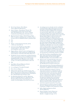- 47 Kevin Casas Zamora, 'Dirty Money', *Americas Quarterly* (Spring 2010).
- 48 James Cockayne, 'Transnational Threats: The Criminalization of West Africa and the Sahel', *Policy Brief* (Washington, D.C.: Center on Global Counterterrorism Cooperation, December 2011).
- 49 Brennan Center for Justice, 'National Survey: Super PACs, Corruption, and Democracy', available at: http:// brennan.3cdn.net/5d2ff3bdfc12b2eb27\_pym6b9cdv.pdf.
- 50 Ibid.
- 51 Ibid.
- 52 *Harper v. Canada* (Attorney General), [2004] 1 S.C.R. 827, 2004 SCC 33.
- 53 Lawrence Lessig, *Republic Lost: How Money Corrupts Congress—And a Plan to Stop It* (NY and Boston: Twelve, 2011).
- 54 Magnus Ohman, 'Global Trends in the Regulation of Political Finance', Paper prepared for the IPSA-ECPR Joint Conference. University of Sao Paulo, Brazil, 2011.
- 55 Worldwide, the most common ban on political donations relates to government resources (excluding the provision of regulated public funding). Source: International IDEA, Political Finance Database (2012), available at: http://www.idea.int/political-finance/index.cfm.
- 56 Ibid.
- 57 Sarah Birch, *Electoral Malpractice* (Oxford: Oxford University Press, 2011).
- 58 Levi and Epperly, 'Principled Principals'.
- 59 Birch, *Electoral Malpractice*.
- 60 Melissa Estok, Neil Nevitte and Glenn Cowan, *The Quick Count and Election Observation: An NDI Handbook for Civic Organizations and Political Parties* (Washington, D.C.: National Democratic Institute, 2002).
- 61 Eric Bjornlund, *Beyond Free and Fair: Monitoring Elections and Building Democracy* (Washington, D.C.: Woodrow Wilson Center Press; Baltimore and London: The John Hopkins University Press, 2004).
- 62 An analogous process already exists for certification of national human rights bodies based on the Paris Principles for National Human Rights Institutions. The Paris Principles established a set of standards for national human rights bodies, and compliance with these principles is the central requirement of the accreditation process that regulates access to the United Nations Human Rights Council and other bodies. The Paris Principles were defined at the first International Workshop on National Institutions for the Promotion and Protection of Human Rights held in Paris on 7–9 October 1991. They were adopted by the United Nations Human Rights Commission by Resolution 1992/54 of 1992, and by the UN General Assembly in its Resolution 48/134 of 1993. Compliance with the Paris Principles is the central requirement of the accreditation process that regulates National Human Rights Institution (NHRI) access to the United Nations Human Rights Council and other bodies. This is a peer review system operated by a subcommittee of the International Coordinating Committee of NHRIs.
- 63 Alan Wall, Sara Staino, Joram Rukambe, Andrew Ellis, Ayman Ayoub and Carl Dundas, *Electoral Management Design: The International IDEA Handbook* (Stockholm: International IDEA, 2006).
- Mark Leonard, 'The Dark Flip Side of European Technocracy', 31 May 2012, available at: http:// blogs.reuters.com/great-debate/2012/05/31/ the-dark-flip-side-of-european-technocracy/.
- 65 This section draws from 'International Responses to Flawed Elections', Background Paper for the Global Commission, available on the Commission's website.
- The most sophisticated evaluations of election observation are based on a comprehensive data set of all elections between 1960 and 2005. Although the data ends in 2005, when many international observer organizations attempted to codify best practice to professionalize observation, the data has important findings both for performance of observation and trends that preceded the codification effort. See Hyde, *The Pseudo-Democrat's Dilemma* and Judith Kelley, *Monitoring Democracy* (Princeton: Princeton University Press, 2012).
- 'International Election Monitoring and Credible Elections', Background Document for the Global Commission, available on the Commission's website.
- 68 Kelley, *Monitoring Democracy*; Birch, *Electoral Malpractice*.
- 69 Hassan Wirajuda, 'Seeds of Democracy in Egypt: Sharing is Caring', *Strategic Review,* 1/1 (August 2011), pp. 147–58.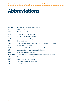# Abbreviations

| <b>ASEAN</b>   | Association of Southeast Asian Nations                           |
|----------------|------------------------------------------------------------------|
| AU             | African Union                                                    |
| <b>BDF</b>     | <b>Bali Democracy Forum</b>                                      |
| <b>DRC</b>     | Democratic Republic of Congo                                     |
| <b>ECK</b>     | Electoral Commission of Kenya                                    |
| <b>EMB</b>     | electoral management body                                        |
| EU             | European Union                                                   |
| <b>FMLN</b>    | Frente Farabundo Martí para la Liberación Nacional (El Salvador) |
| <b>IDP</b>     | internally displaced person                                      |
| <b>INEC</b>    | Independent National Electoral Commission (Nigeria)              |
| <b>ISO</b>     | International Organization for Standardization                   |
| <b>MDG</b>     | Millennium Development Goal                                      |
| <b>NAMFREL</b> | National Citizens Movement for Free Elections (the Philippines)  |
| <b>OAS</b>     | Organization of American States                                  |
| <b>OGP</b>     | Open Government Partnership                                      |
| <b>PAC</b>     | Political Action Committee (USA)                                 |
| <b>UN</b>      | <b>United Nations</b>                                            |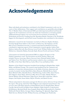# Acknowledgements

Many individuals and institutions contributed to the Global Commission's work over the course of their deliberations. Their support and contributions are gratefully acknowledged. The 27 Member States of International IDEA provided important political and financial support for the Commission's activities, for which the Commission is extremely grateful. Additional financial support was received from the Governments of Australia, the Netherlands and Norway. Funding from Mr. Harushisa Handa, Chairman of the Worldwide Support for Development, and the Kofi Annan Foundation also contributed to this initiative.

Substantive research for the Commission was led by its Director, Stephen Stedman, Freeman Spogli Senior Fellow at the Center on Democracy, Development, and the Rule of Law at Stanford University. A research team based at Stanford University contributed to important aspects of the Commission's research agenda: Andrea Abel, Kathryn Aubrey-Horvath, Kara Downey, Lexie Frosh, William Gallery, Kerry Kraemer, Melissa Lee, Samantha Maskey, Kennedy Opalo, Brenna Powell, and Lauren Prather.

A Secretariat was hosted by International IDEA to support all aspects of the Global Commission's work. The Secretariat was led by Zachary Alpern and included Therese Arnewing, Alberto Guevara Castro, Rosinah Ismail-Clarke, and Valeria Virzí. The Director and Secretariat worked in close coordination with the Office of the Chair: Ruth McCoy, Carlos Oliver Cruz and Kathryn Kirk.

Members of the Global Commission benefited from briefings by Brigalia Bam, Judith Kelley, and Richard Youngs. The research team benefited from the comments and assistance of researchers and practitioners in the fields of elections, democracy and security: Leonardo Arriola, Sarah Birch, Dawn Brancuti, Michelle Brown, Sarah Bush, Michael Callen, Daniella Donno, Thad Dunning, Andrew Ellis, James Fearon, Elin Falguera, Susan Hyde, Adrienne LeBas, Steven Levitsky, Nikolay Marinov, Patrick Molutsi, Edward Mortimer, Pippa Norris, Susan Rose-Ackerman, Alberto Simpser, Jack Snyder, Susan Stokes, Haynie Wheeler, and Daniel Zovatto.

Vibrant and productive discussions amongst the Director and an Advisory Group informed the report. This group, chaired by Vidar Helgesen and comprised of practitioners who served in their individual capacities included Richard Atwood, Brigalia Bam, Manuel Carrillo, David Carroll, Geraldine Fraser-Moleketi, Pablo Gutiérrez, Craig Jenness, Ed Killesteyn, Bernhard Knoll, Janez Lenarčič, Beata Martin-Rozumilowicz, Charlotte McDowell, Patrick Merloe, Georges Nakseu-Nguefang, S.Y. Quraishi, Hugo Sada, Mark Stevens, Michael Svetlik, William Sweeney, and Malgorzata Wasilewska.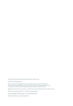© International Institute for Democracy and Electoral Assistance 2012

© Kofi Annan Foundation 2012

Views expressed in this publication do not necessarily represent the view of International IDEA, the Kofi Annan Foundation, or their respective executive boards, governing bodies, and/  $\,$ or member states. This report is independent of specific national or political interests.

Applications for permission to reproduce or translate all or any part of this publication should be made to:

Kofi Annan Foundation, P.O. Box 157, 1202 Geneva 20, Switzerland

International IDEA, Strömsborg, SE - 103 34 Stockholm, Sweden

Design by Provokateur: www.provokateur.com